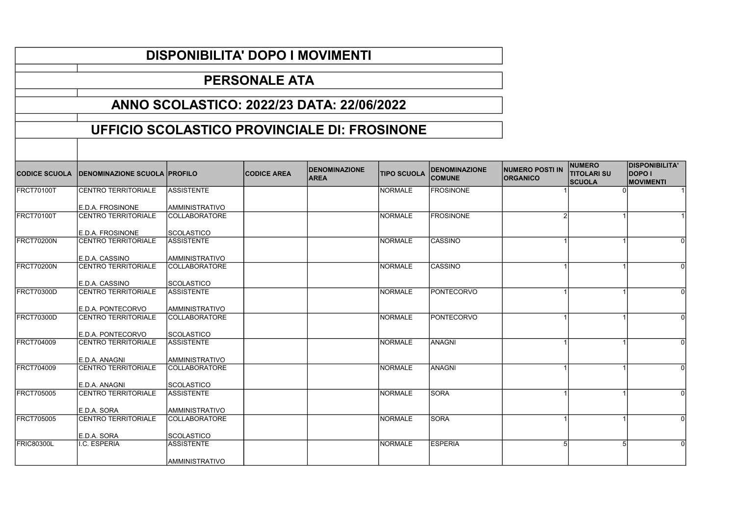## CODICE SCUOLA DENOMINAZIONE SCUOLA PROFILO CODICE AREA DENOMINAZIONE  $\vert$ TIPO SCUOLA  $\vert$ DENOMINAZIONE **COMUNE** NUMERO POSTI IN **ORGANICO NUMERO** TITOLARI SU Iscuola DISPONIBILITA' DOPO I **MOVIMENTI** FRCT70100T CENTRO TERRITORIALE E.D.A. FROSINONE **ASSISTENTE** AMMINISTRATIVO NORMALE FROSINONE 1 1 0 1 FRCT70100T CENTRO TERRITORIALE E.D.A. FROSINONE COLLABORATORE **SCOLASTICO** NORMALE FROSINONE 2 FRCT70200N CENTRO TERRITORIALE E.D.A. CASSINO **ASSISTENTE** AMMINISTRATIVO NORMALE CASSINO 1 1 1 0 FRCT70200N CENTRO TERRITORIALE E.D.A. CASSINO COLLABORATORE **SCOLASTICO** NORMALE CASSINO 1 1 1 0 FRCT70300D CENTRO TERRITORIALE E.D.A. PONTECORVO **ASSISTENTE** AMMINISTRATIVO NORMALE PONTECORVO FRCT70300D CENTRO TERRITORIALE E.D.A. PONTECORVO COLLABORATORE **SCOLASTICO** NORMALE **PONTECORVO** FRCT704009 CENTRO TERRITORIALE E.D.A. ANAGNI **ASSISTENTE** AMMINISTRATIVO NORMALE ANAGNI 1 1 0 FRCT704009 CENTRO TERRITORIALE E.D.A. ANAGNI COLLABORATORE **SCOLASTICO** NORMALE ANAGNI 1 1 0 FRCT705005 CENTRO TERRITORIALE E.D.A. SORA **ASSISTENTE** AMMINISTRATIVO NORMALE SORA 1 1 1 0 FRCT705005 CENTRO TERRITORIALE E.D.A. SORA **COLLABORATORE** SCOLASTICO NORMALE SORA 1 1 1 0 FRIC80300L I.C. ESPERIA ASSISTENTE AMMINISTRATIVO NORMALE ESPERIA 5 5 5 0 PERSONALE ATA ANNO SCOLASTICO: 2022/23 DATA: 22/06/2022 UFFICIO SCOLASTICO PROVINCIALE DI: FROSINONE

DISPONIBILITA' DOPO I MOVIMENTI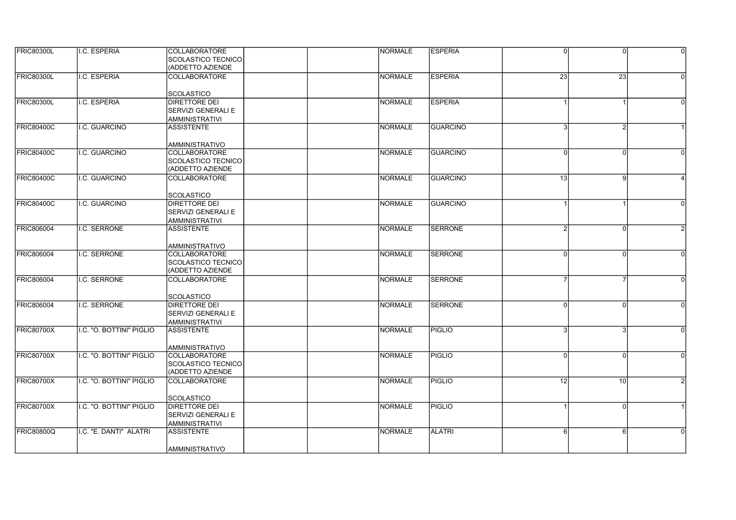| <b>FRIC80300L</b> | I.C. ESPERIA             | <b>COLLABORATORE</b><br>SCOLASTICO TECNICO<br>(ADDETTO AZIENDE             | <b>NORMALE</b> | <b>ESPERIA</b>  | $\Omega$        | $\Omega$        | $\Omega$ |
|-------------------|--------------------------|----------------------------------------------------------------------------|----------------|-----------------|-----------------|-----------------|----------|
| FRIC80300L        | I.C. ESPERIA             | <b>COLLABORATORE</b>                                                       | NORMALE        | <b>ESPERIA</b>  | $\overline{23}$ | $\overline{23}$ | $\Omega$ |
|                   |                          | <b>SCOLASTICO</b>                                                          |                |                 |                 |                 |          |
| <b>FRIC80300L</b> | I.C. ESPERIA             | <b>DIRETTORE DEI</b><br><b>SERVIZI GENERALI E</b><br><b>AMMINISTRATIVI</b> | <b>NORMALE</b> | <b>ESPERIA</b>  |                 |                 | $\Omega$ |
| <b>FRIC80400C</b> | I.C. GUARCINO            | <b>ASSISTENTE</b>                                                          | <b>NORMALE</b> | GUARCINO        |                 |                 |          |
|                   |                          | <b>AMMINISTRATIVO</b>                                                      |                |                 |                 |                 |          |
| <b>FRIC80400C</b> | I.C. GUARCINO            | <b>COLLABORATORE</b><br>SCOLASTICO TECNICO<br>(ADDETTO AZIENDE             | <b>NORMALE</b> | <b>GUARCINO</b> | 0               | $\Omega$        |          |
| <b>FRIC80400C</b> | I.C. GUARCINO            | <b>COLLABORATORE</b>                                                       | <b>NORMALE</b> | GUARCINO        | 13 <sup>1</sup> | 9               |          |
|                   |                          | <b>SCOLASTICO</b>                                                          |                |                 |                 |                 |          |
| <b>FRIC80400C</b> | I.C. GUARCINO            | <b>DIRETTORE DEI</b><br><b>SERVIZI GENERALI E</b><br><b>AMMINISTRATIVI</b> | <b>NORMALE</b> | GUARCINO        |                 |                 | $\Omega$ |
| <b>FRIC806004</b> | I.C. SERRONE             | <b>ASSISTENTE</b>                                                          | <b>NORMALE</b> | <b>SERRONE</b>  |                 | $\Omega$        |          |
|                   |                          | <b>AMMINISTRATIVO</b>                                                      |                |                 |                 |                 |          |
| <b>FRIC806004</b> | I.C. SERRONE             | <b>COLLABORATORE</b><br>SCOLASTICO TECNICO<br>(ADDETTO AZIENDE             | <b>NORMALE</b> | <b>SERRONE</b>  | $\Omega$        | $\Omega$        | $\Omega$ |
| <b>FRIC806004</b> | I.C. SERRONE             | <b>COLLABORATORE</b>                                                       | <b>NORMALE</b> | <b>SERRONE</b>  |                 |                 | $\Omega$ |
|                   |                          | <b>SCOLASTICO</b>                                                          |                |                 |                 |                 |          |
| <b>FRIC806004</b> | <b>I.C. SERRONE</b>      | <b>DIRETTORE DEI</b><br>SERVIZI GENERALI E<br><b>AMMINISTRATIVI</b>        | <b>NORMALE</b> | <b>SERRONE</b>  | ΩI              | $\Omega$        | $\Omega$ |
| <b>FRIC80700X</b> | I.C. "O. BOTTINI" PIGLIO | <b>ASSISTENTE</b>                                                          | <b>NORMALE</b> | PIGLIO          | З               | 3               | $\Omega$ |
|                   |                          | <b>AMMINISTRATIVO</b>                                                      |                |                 |                 |                 |          |
| <b>FRIC80700X</b> | I.C. "O. BOTTINI" PIGLIO | <b>COLLABORATORE</b><br><b>SCOLASTICO TECNICO</b><br>(ADDETTO AZIENDE      | <b>NORMALE</b> | <b>PIGLIO</b>   | $\Omega$        | $\Omega$        | $\Omega$ |
| <b>FRIC80700X</b> | I.C. "O. BOTTINI" PIGLIO | COLLABORATORE                                                              | <b>NORMALE</b> | <b>PIGLIO</b>   | $\overline{12}$ | 10              |          |
|                   |                          | <b>SCOLASTICO</b>                                                          |                |                 |                 |                 |          |
| <b>FRIC80700X</b> | I.C. "O. BOTTINI" PIGLIO | <b>DIRETTORE DEI</b><br>SERVIZI GENERALI E<br><b>AMMINISTRATIVI</b>        | <b>NORMALE</b> | PIGLIO          |                 | $\Omega$        |          |
| <b>FRIC80800Q</b> | I.C. "E. DANTI" ALATRI   | <b>ASSISTENTE</b>                                                          | <b>NORMALE</b> | <b>ALATRI</b>   | 6               | 6               | $\Omega$ |
|                   |                          | <b>AMMINISTRATIVO</b>                                                      |                |                 |                 |                 |          |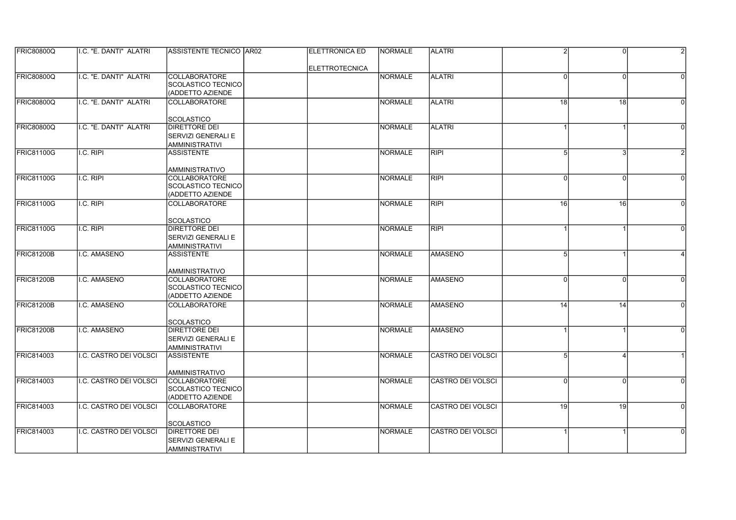| <b>FRIC80800Q</b> | II.C. "E. DANTI" ALATRI | <b>ASSISTENTE TECNICO AR02</b>             | <b>IELETTRONICA ED</b> | <b>NORMALE</b> | <b>ALATRI</b>            | $\mathcal{P}$ | $\Omega$ |                |
|-------------------|-------------------------|--------------------------------------------|------------------------|----------------|--------------------------|---------------|----------|----------------|
|                   |                         |                                            | <b>ELETTROTECNICA</b>  |                |                          |               |          |                |
| <b>FRIC80800Q</b> | I.C. "E. DANTI" ALATRI  | <b>COLLABORATORE</b>                       |                        | <b>NORMALE</b> | <b>ALATRI</b>            | ΩI            | $\Omega$ |                |
|                   |                         | SCOLASTICO TECNICO                         |                        |                |                          |               |          |                |
|                   |                         | (ADDETTO AZIENDE                           |                        |                |                          |               |          |                |
| <b>FRIC80800Q</b> | I.C. "E. DANTI" ALATRI  | <b>COLLABORATORE</b>                       |                        | <b>NORMALE</b> | <b>ALATRI</b>            | 18            | 18       | $\Omega$       |
|                   |                         | <b>SCOLASTICO</b>                          |                        |                |                          |               |          |                |
| <b>FRIC80800Q</b> | I.C. "E. DANTI" ALATRI  | <b>DIRETTORE DEI</b>                       |                        | <b>NORMALE</b> | <b>ALATRI</b>            |               |          | $\Omega$       |
|                   |                         | SERVIZI GENERALI E                         |                        |                |                          |               |          |                |
|                   |                         | <b>AMMINISTRATIVI</b>                      |                        |                |                          |               |          |                |
| FRIC81100G        | I.C. RIPI               | <b>ASSISTENTE</b>                          |                        | <b>NORMALE</b> | <b>RIPI</b>              | 5             | 3        |                |
|                   |                         |                                            |                        |                |                          |               |          |                |
|                   |                         | <b>AMMINISTRATIVO</b>                      |                        |                |                          |               |          |                |
| <b>FRIC81100G</b> | I.C. RIPI               | <b>COLLABORATORE</b>                       |                        | <b>NORMALE</b> | <b>RIPI</b>              | 0l            | $\Omega$ | $\Omega$       |
|                   |                         | SCOLASTICO TECNICO                         |                        |                |                          |               |          |                |
|                   |                         | (ADDETTO AZIENDE                           |                        |                |                          |               |          |                |
| <b>FRIC81100G</b> | I.C. RIPI               | <b>COLLABORATORE</b>                       |                        | <b>NORMALE</b> | RIPI                     | 16            | 16       | $\Omega$       |
|                   |                         |                                            |                        |                |                          |               |          |                |
| <b>FRIC81100G</b> | I.C. RIPI               | SCOLASTICO<br>DIRETTORE DEI                |                        | <b>NORMALE</b> | <b>RIPI</b>              |               |          | $\Omega$       |
|                   |                         | SERVIZI GENERALI E                         |                        |                |                          |               |          |                |
|                   |                         | <b>AMMINISTRATIVI</b>                      |                        |                |                          |               |          |                |
| <b>FRIC81200B</b> | I.C. AMASENO            | <b>ASSISTENTE</b>                          |                        | <b>NORMALE</b> | <b>AMASENO</b>           | 5             |          |                |
|                   |                         |                                            |                        |                |                          |               |          |                |
|                   |                         | <b>AMMINISTRATIVO</b>                      |                        |                |                          |               |          |                |
| <b>FRIC81200B</b> | I.C. AMASENO            | <b>COLLABORATORE</b>                       |                        | <b>NORMALE</b> | <b>AMASENO</b>           | $\Omega$      |          |                |
|                   |                         | SCOLASTICO TECNICO                         |                        |                |                          |               |          |                |
|                   |                         | (ADDETTO AZIENDE                           |                        |                |                          |               |          |                |
| <b>FRIC81200B</b> | I.C. AMASENO            | <b>COLLABORATORE</b>                       |                        | <b>NORMALE</b> | AMASENO                  | 14            | 14       | $\Omega$       |
|                   |                         |                                            |                        |                |                          |               |          |                |
|                   |                         | <b>SCOLASTICO</b>                          |                        |                |                          |               |          |                |
| <b>FRIC81200B</b> | I.C. AMASENO            | <b>DIRETTORE DEI</b>                       |                        | <b>NORMALE</b> | <b>AMASENO</b>           |               |          | $\Omega$       |
|                   |                         | SERVIZI GENERALI E                         |                        |                |                          |               |          |                |
| FRIC814003        | I.C. CASTRO DEI VOLSCI  | <b>AMMINISTRATIVI</b><br><b>ASSISTENTE</b> |                        | <b>NORMALE</b> | <b>CASTRO DEI VOLSCI</b> | 5             |          |                |
|                   |                         |                                            |                        |                |                          |               |          |                |
|                   |                         | AMMINISTRATIVO                             |                        |                |                          |               |          |                |
| <b>FRIC814003</b> | I.C. CASTRO DEI VOLSCI  | <b>COLLABORATORE</b>                       |                        | <b>NORMALE</b> | <b>CASTRO DEI VOLSCI</b> | 0             | $\Omega$ | $\Omega$       |
|                   |                         | SCOLASTICO TECNICO                         |                        |                |                          |               |          |                |
|                   |                         | (ADDETTO AZIENDE                           |                        |                |                          |               |          |                |
| <b>FRIC814003</b> | I.C. CASTRO DEI VOLSCI  | <b>COLLABORATORE</b>                       |                        | <b>NORMALE</b> | CASTRO DEI VOLSCI        | 19            | 19       | $\overline{0}$ |
|                   |                         |                                            |                        |                |                          |               |          |                |
|                   |                         | <b>SCOLASTICO</b>                          |                        |                |                          |               |          |                |
| <b>FRIC814003</b> | I.C. CASTRO DEI VOLSCI  | DIRETTORE DEI                              |                        | <b>NORMALE</b> | <b>CASTRO DEI VOLSCI</b> |               |          | $\Omega$       |
|                   |                         | SERVIZI GENERALI E                         |                        |                |                          |               |          |                |
|                   |                         | <b>AMMINISTRATIVI</b>                      |                        |                |                          |               |          |                |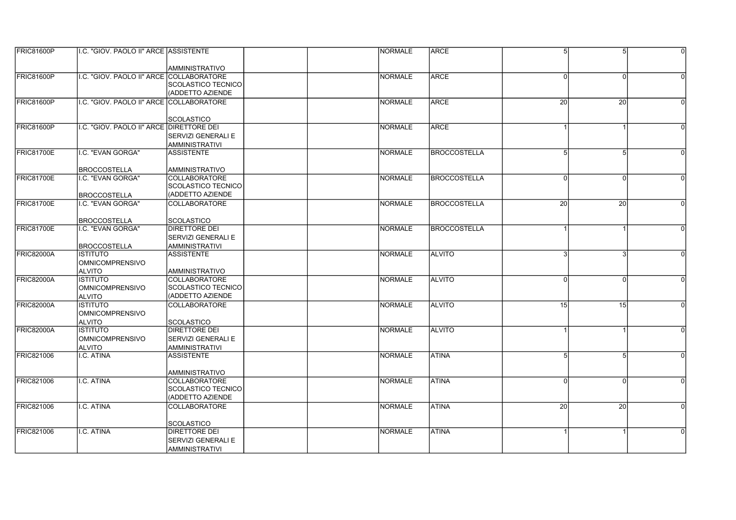| FRIC81600P        | I.C. "GIOV. PAOLO II" ARCE ASSISTENTE     |                                               | INORMALE       | <b>ARCE</b>          | 5 <sup>1</sup> | 5               | $\Omega$ |
|-------------------|-------------------------------------------|-----------------------------------------------|----------------|----------------------|----------------|-----------------|----------|
|                   |                                           |                                               |                |                      |                |                 |          |
|                   |                                           | <b>AMMINISTRATIVO</b>                         |                |                      |                |                 |          |
| <b>FRIC81600P</b> | I.C. "GIOV. PAOLO II" ARCE COLLABORATORE  |                                               | <b>NORMALE</b> | <b>ARCE</b>          | U              | $\Omega$        |          |
|                   |                                           | SCOLASTICO TECNICO                            |                |                      |                |                 |          |
|                   |                                           | (ADDETTO AZIENDE                              |                |                      |                |                 |          |
| FRIC81600P        | I.C. "GIOV. PAOLO II" ARCE COLLABORATORE  |                                               | NORMALE        | ARCE                 | 20             | 20              | $\Omega$ |
|                   |                                           |                                               |                |                      |                |                 |          |
|                   |                                           | SCOLASTICO                                    |                |                      |                |                 |          |
| <b>FRIC81600P</b> | I.C. "GIOV. PAOLO II" ARCE  DIRETTORE DEI |                                               | NORMALE        | ARCE                 |                |                 |          |
|                   |                                           | <b>SERVIZI GENERALI E</b>                     |                |                      |                |                 |          |
|                   |                                           | <b>AMMINISTRATIVI</b>                         |                |                      |                |                 |          |
| FRIC81700E        | I.C. "EVAN GORGA"                         | <b>ASSISTENTE</b>                             | <b>NORMALE</b> | <b>BROCCOSTELLA</b>  | 5              |                 |          |
|                   |                                           |                                               |                |                      |                |                 |          |
|                   | <b>BROCCOSTELLA</b>                       | AMMINISTRATIVO                                |                |                      |                |                 |          |
| <b>FRIC81700E</b> | I.C. "EVAN GORGA"                         | <b>COLLABORATORE</b>                          | NORMALE        | <b>IBROCCOSTELLA</b> | $\Omega$       | $\Omega$        | $\Omega$ |
|                   |                                           | SCOLASTICO TECNICO                            |                |                      |                |                 |          |
|                   | <b>BROCCOSTELLA</b>                       | <b>I(ADDETTO AZIENDE</b>                      |                |                      |                |                 |          |
| <b>FRIC81700E</b> | I.C. "EVAN GORGA"                         | <b>COLLABORATORE</b>                          | INORMALE       | <b>IBROCCOSTELLA</b> | 20             | $\overline{20}$ | $\Omega$ |
|                   |                                           |                                               |                |                      |                |                 |          |
|                   | <b>BROCCOSTELLA</b>                       | <b>SCOLASTICO</b>                             |                |                      |                |                 |          |
| FRIC81700E        | I.C. "EVAN GORGA"                         | <b>DIRETTORE DEI</b>                          | <b>NORMALE</b> | <b>BROCCOSTELLA</b>  |                |                 |          |
|                   |                                           | <b>SERVIZI GENERALI E</b>                     |                |                      |                |                 |          |
|                   | <b>BROCCOSTELLA</b>                       | <b>AMMINISTRATIVI</b>                         |                |                      |                |                 |          |
| FRIC82000A        | <b>ISTITUTO</b>                           | <b>ASSISTENTE</b>                             | NORMALE        | <b>ALVITO</b>        | 3              | 3               | $\Omega$ |
|                   | <b>OMNICOMPRENSIVO</b>                    |                                               |                |                      |                |                 |          |
|                   | <b>ALVITO</b>                             | AMMINISTRATIVO                                |                |                      |                |                 |          |
| FRIC82000A        | <b>ISTITUTO</b>                           | <b>COLLABORATORE</b>                          | <b>NORMALE</b> | <b>ALVITO</b>        | U              | $\Omega$        |          |
|                   | <b>OMNICOMPRENSIVO</b>                    | ISCOLASTICO TECNICO                           |                |                      |                |                 |          |
|                   | <b>ALVITO</b>                             | (ADDETTO AZIENDE                              |                |                      |                |                 |          |
| FRIC82000A        | <b>ISTITUTO</b>                           | COLLABORATORE                                 | NORMALE        | <b>ALVITO</b>        | 15             | 15              | $\Omega$ |
|                   | OMNICOMPRENSIVO                           |                                               |                |                      |                |                 |          |
| <b>FRIC82000A</b> | <b>ALVITO</b>                             | <b>SCOLASTICO</b>                             |                |                      |                |                 |          |
|                   | <b>ISTITUTO</b>                           | <b>DIRETTORE DEI</b>                          | NORMALE        | <b>ALVITO</b>        |                |                 | $\Omega$ |
|                   | <b>OMNICOMPRENSIVO</b>                    | <b>SERVIZI GENERALI E</b>                     |                |                      |                |                 |          |
| <b>FRIC821006</b> | <b>ALVITO</b>                             | <b>AMMINISTRATIVI</b>                         | NORMALE        | <b>ATINA</b>         | 5              |                 |          |
|                   | I.C. ATINA                                | <b>ASSISTENTE</b>                             |                |                      |                |                 |          |
|                   |                                           |                                               |                |                      |                |                 |          |
| <b>FRIC821006</b> | I.C. ATINA                                | <b>AMMINISTRATIVO</b><br><b>COLLABORATORE</b> | INORMALE       | <b>ATINA</b>         | <sup>0</sup>   | $\Omega$        | $\Omega$ |
|                   |                                           | SCOLASTICO TECNICO                            |                |                      |                |                 |          |
|                   |                                           | (ADDETTO AZIENDE                              |                |                      |                |                 |          |
| <b>FRIC821006</b> | I.C. ATINA                                | <b>COLLABORATORE</b>                          | <b>NORMALE</b> | <b>ATINA</b>         | 20             | $\overline{20}$ |          |
|                   |                                           |                                               |                |                      |                |                 |          |
|                   |                                           | SCOLASTICO                                    |                |                      |                |                 |          |
| <b>FRIC821006</b> | I.C. ATINA                                | <b>DIRETTORE DEI</b>                          | NORMALE        | <b>ATINA</b>         |                |                 |          |
|                   |                                           | <b>ISERVIZI GENERALI E</b>                    |                |                      |                |                 |          |
|                   |                                           | AMMINISTRATIVI                                |                |                      |                |                 |          |
|                   |                                           |                                               |                |                      |                |                 |          |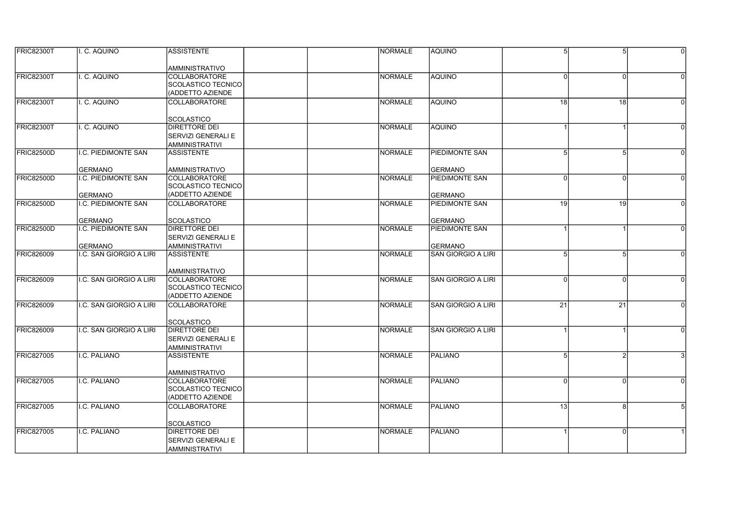| <b>FRIC82300T</b> | II. C. AQUINO                             | <b>ASSISTENTE</b>                          | <b>NORMALE</b> | <b>AQUINO</b>                        | 5 <sup>1</sup> | 5        | $\Omega$ |
|-------------------|-------------------------------------------|--------------------------------------------|----------------|--------------------------------------|----------------|----------|----------|
|                   |                                           | AMMINISTRATIVO                             |                |                                      |                |          |          |
| <b>FRIC82300T</b> | I. C. AQUINO                              | <b>COLLABORATORE</b>                       | <b>NORMALE</b> | <b>AQUINO</b>                        | ΩI             | $\Omega$ | $\Omega$ |
|                   |                                           | SCOLASTICO TECNICO                         |                |                                      |                |          |          |
|                   |                                           | (ADDETTO AZIENDE                           |                |                                      |                |          |          |
| <b>FRIC82300T</b> | I. C. AQUINO                              | <b>COLLABORATORE</b>                       | <b>NORMALE</b> | AQUINO                               | 18             | 18       | $\Omega$ |
|                   |                                           |                                            |                |                                      |                |          |          |
|                   |                                           | <b>SCOLASTICO</b>                          |                |                                      |                |          |          |
| <b>FRIC82300T</b> | I. C. AQUINO                              | DIRETTORE DEI                              | <b>NORMALE</b> | Iaquino                              |                |          | $\Omega$ |
|                   |                                           | SERVIZI GENERALI E                         |                |                                      |                |          |          |
|                   |                                           | <b>AMMINISTRATIVI</b>                      |                |                                      |                |          |          |
| <b>FRIC82500D</b> | I.C. PIEDIMONTE SAN                       | <b>ASSISTENTE</b>                          | <b>NORMALE</b> | <b>PIEDIMONTE SAN</b>                |                |          |          |
|                   | <b>GERMANO</b>                            | <b>AMMINISTRATIVO</b>                      |                | GERMANO                              |                |          |          |
| <b>FRIC82500D</b> | I.C. PIEDIMONTE SAN                       | <b>COLLABORATORE</b>                       | <b>NORMALE</b> | <b>PIEDIMONTE SAN</b>                | $\Omega$       | $\Omega$ | $\Omega$ |
|                   |                                           | SCOLASTICO TECNICO                         |                |                                      |                |          |          |
|                   | <b>GERMANO</b>                            | (ADDETTO AZIENDE                           |                | <b>GERMANO</b>                       |                |          |          |
| <b>FRIC82500D</b> | <b>I.C. PIEDIMONTE SAN</b>                | <b>COLLABORATORE</b>                       | <b>NORMALE</b> | <b>PIEDIMONTE SAN</b>                | 19             | 19       | $\Omega$ |
|                   |                                           |                                            |                |                                      |                |          |          |
|                   | <b>GERMANO</b>                            | SCOLASTICO                                 |                | <b>GERMANO</b>                       |                |          |          |
| <b>FRIC82500D</b> | I.C. PIEDIMONTE SAN                       | DIRETTORE DEI                              | <b>NORMALE</b> | <b>PIEDIMONTE SAN</b>                |                |          |          |
|                   |                                           | SERVIZI GENERALI E                         |                |                                      |                |          |          |
| <b>FRIC826009</b> | <b>GERMANO</b><br>I.C. SAN GIORGIO A LIRI | <b>AMMINISTRATIVI</b><br><b>ASSISTENTE</b> | <b>NORMALE</b> | GERMANO<br><b>SAN GIORGIO A LIRI</b> | 5              | 5        | $\Omega$ |
|                   |                                           |                                            |                |                                      |                |          |          |
|                   |                                           | <b>AMMINISTRATIVO</b>                      |                |                                      |                |          |          |
| <b>FRIC826009</b> | I.C. SAN GIORGIO A LIRI                   | <b>COLLABORATORE</b>                       | <b>NORMALE</b> | <b>SAN GIORGIO A LIRI</b>            | $\Omega$       | n        |          |
|                   |                                           | <b>SCOLASTICO TECNICO</b>                  |                |                                      |                |          |          |
|                   |                                           | (ADDETTO AZIENDE                           |                |                                      |                |          |          |
| <b>FRIC826009</b> | I.C. SAN GIORGIO A LIRI                   | COLLABORATORE                              | <b>NORMALE</b> | <b>SAN GIORGIO A LIRI</b>            | 21             | 21       | $\Omega$ |
|                   |                                           |                                            |                |                                      |                |          |          |
|                   |                                           | <b>SCOLASTICO</b>                          |                |                                      |                |          |          |
| <b>FRIC826009</b> | I.C. SAN GIORGIO A LIRI                   | <b>DIRETTORE DEI</b>                       | <b>NORMALE</b> | <b>SAN GIORGIO A LIRI</b>            |                |          | $\Omega$ |
|                   |                                           | SERVIZI GENERALI E                         |                |                                      |                |          |          |
| <b>FRIC827005</b> | I.C. PALIANO                              | <b>AMMINISTRATIVI</b><br><b>ASSISTENTE</b> | <b>NORMALE</b> | PALIANO                              | 5              |          |          |
|                   |                                           |                                            |                |                                      |                |          |          |
|                   |                                           | AMMINISTRATIVO                             |                |                                      |                |          |          |
| <b>FRIC827005</b> | I.C. PALIANO                              | <b>COLLABORATORE</b>                       | <b>NORMALE</b> | PALIANO                              | ΩI             | $\Omega$ | $\Omega$ |
|                   |                                           | SCOLASTICO TECNICO                         |                |                                      |                |          |          |
|                   |                                           | (ADDETTO AZIENDE                           |                |                                      |                |          |          |
| <b>FRIC827005</b> | I.C. PALIANO                              | <b>COLLABORATORE</b>                       | <b>NORMALE</b> | PALIANO                              | 13             | 8        |          |
|                   |                                           |                                            |                |                                      |                |          |          |
| <b>FRIC827005</b> | I.C. PALIANO                              | SCOLASTICO<br><b>DIRETTORE DEI</b>         | <b>NORMALE</b> | PALIANO                              |                | $\Omega$ |          |
|                   |                                           | SERVIZI GENERALI E                         |                |                                      |                |          |          |
|                   |                                           | <b>AMMINISTRATIVI</b>                      |                |                                      |                |          |          |
|                   |                                           |                                            |                |                                      |                |          |          |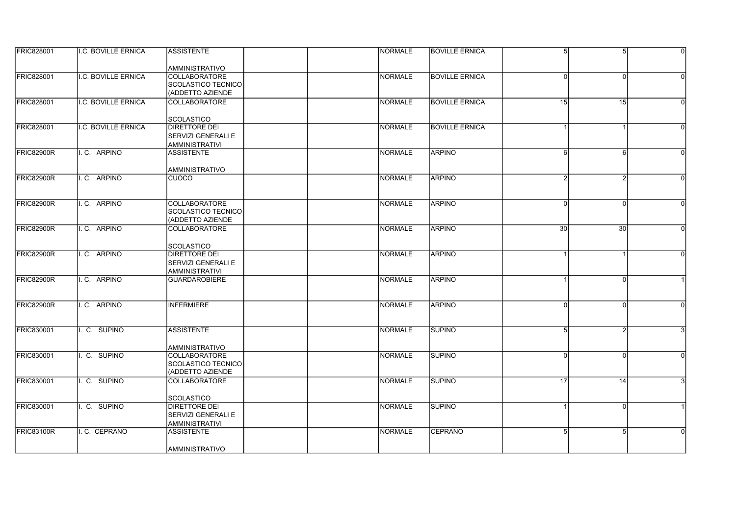| <b>FRIC828001</b> | <b>II.C. BOVILLE ERNICA</b> | <b>ASSISTENTE</b>                             | <b>NORMALE</b> | <b>BOVILLE ERNICA</b> | 5               | 5               | $\Omega$ |
|-------------------|-----------------------------|-----------------------------------------------|----------------|-----------------------|-----------------|-----------------|----------|
|                   |                             |                                               |                |                       |                 |                 |          |
| <b>FRIC828001</b> | I.C. BOVILLE ERNICA         | <b>AMMINISTRATIVO</b><br><b>COLLABORATORE</b> | <b>NORMALE</b> | <b>BOVILLE ERNICA</b> | ΩI              | $\Omega$        |          |
|                   |                             | SCOLASTICO TECNICO                            |                |                       |                 |                 |          |
|                   |                             | (ADDETTO AZIENDE                              |                |                       |                 |                 |          |
|                   |                             |                                               |                |                       |                 |                 |          |
| <b>FRIC828001</b> | I.C. BOVILLE ERNICA         | <b>COLLABORATORE</b>                          | <b>NORMALE</b> | <b>BOVILLE ERNICA</b> | 15              | 15              | $\Omega$ |
|                   |                             | <b>SCOLASTICO</b>                             |                |                       |                 |                 |          |
| <b>FRIC828001</b> | I.C. BOVILLE ERNICA         | <b>DIRETTORE DEI</b>                          | <b>NORMALE</b> | <b>BOVILLE ERNICA</b> |                 |                 | $\Omega$ |
|                   |                             | SERVIZI GENERALI E                            |                |                       |                 |                 |          |
|                   |                             | <b>AMMINISTRATIVI</b>                         |                |                       |                 |                 |          |
| <b>FRIC82900R</b> | I.C. ARPINO                 | <b>ASSISTENTE</b>                             | <b>NORMALE</b> | <b>ARPINO</b>         | 6               | 6               | $\Omega$ |
|                   |                             |                                               |                |                       |                 |                 |          |
|                   |                             | AMMINISTRATIVO                                |                |                       |                 |                 |          |
| FRIC82900R        | I.C. ARPINO                 | CUOCO                                         | <b>NORMALE</b> | <b>ARPINO</b>         | 2               | $\mathcal{P}$   | $\Omega$ |
|                   |                             |                                               |                |                       |                 |                 |          |
|                   |                             |                                               |                |                       |                 |                 |          |
| <b>FRIC82900R</b> | I.C. ARPINO                 | <b>COLLABORATORE</b>                          | <b>NORMALE</b> | <b>ARPINO</b>         | ΩI              | <sup>0</sup>    | $\Omega$ |
|                   |                             | SCOLASTICO TECNICO                            |                |                       |                 |                 |          |
|                   |                             | (ADDETTO AZIENDE                              |                |                       |                 |                 |          |
| <b>FRIC82900R</b> | I.C. ARPINO                 | <b>COLLABORATORE</b>                          | <b>NORMALE</b> | ARPINO                | 30 <sub>0</sub> | $\overline{30}$ |          |
|                   |                             |                                               |                |                       |                 |                 |          |
|                   |                             | <b>SCOLASTICO</b>                             |                |                       |                 |                 |          |
| FRIC82900R        | II.C. ARPINO                | DIRETTORE DEI                                 | <b>NORMALE</b> | <b>ARPINO</b>         |                 |                 | $\Omega$ |
|                   |                             | SERVIZI GENERALI E                            |                |                       |                 |                 |          |
|                   |                             | <b>AMMINISTRATIVI</b>                         |                |                       |                 |                 |          |
| <b>FRIC82900R</b> | I.C. ARPINO                 | <b>GUARDAROBIERE</b>                          | <b>NORMALE</b> | <b>ARPINO</b>         |                 |                 |          |
|                   |                             |                                               |                |                       |                 |                 |          |
| <b>FRIC82900R</b> | I.C. ARPINO                 | <b>INFERMIERE</b>                             | <b>NORMALE</b> | <b>ARPINO</b>         | ΩI              | $\Omega$        |          |
|                   |                             |                                               |                |                       |                 |                 |          |
|                   |                             |                                               |                |                       |                 |                 |          |
| <b>FRIC830001</b> | I. C. SUPINO                | <b>ASSISTENTE</b>                             | <b>NORMALE</b> | <b>ISUPINO</b>        | 5               | 2               |          |
|                   |                             |                                               |                |                       |                 |                 |          |
|                   |                             | AMMINISTRATIVO                                |                |                       |                 |                 |          |
| <b>FRIC830001</b> | I. C. SUPINO                | <b>COLLABORATORE</b>                          | <b>NORMALE</b> | <b>SUPINO</b>         | 0               | $\Omega$        |          |
|                   |                             | SCOLASTICO TECNICO                            |                |                       |                 |                 |          |
|                   |                             | (ADDETTO AZIENDE                              |                |                       |                 |                 |          |
| <b>FRIC830001</b> | II. C. SUPINO               | <b>COLLABORATORE</b>                          | <b>NORMALE</b> | <b>SUPINO</b>         | 17              | 14              |          |
|                   |                             |                                               |                |                       |                 |                 |          |
|                   |                             | <b>SCOLASTICO</b>                             |                |                       |                 |                 |          |
| <b>FRIC830001</b> | I. C. SUPINO                | <b>DIRETTORE DEI</b>                          | <b>NORMALE</b> | <b>SUPINO</b>         |                 | $\Omega$        |          |
|                   |                             | SERVIZI GENERALI E                            |                |                       |                 |                 |          |
|                   |                             | <b>AMMINISTRATIVI</b>                         |                |                       |                 |                 |          |
| <b>FRIC83100R</b> | I. C. CEPRANO               | <b>ASSISTENTE</b>                             | <b>NORMALE</b> | CEPRANO               | 5               |                 |          |
|                   |                             |                                               |                |                       |                 |                 |          |
|                   |                             | AMMINISTRATIVO                                |                |                       |                 |                 |          |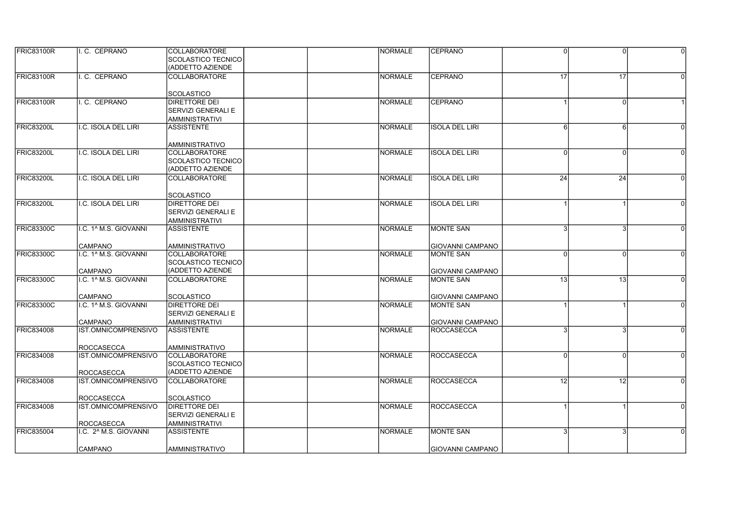| FRIC83100R        | I.C. CEPRANO                               | <b>COLLABORATORE</b>                       | <b>NORMALE</b> | <b>ICEPRANO</b>         | $\Omega$        | $\Omega$        | $\Omega$ |
|-------------------|--------------------------------------------|--------------------------------------------|----------------|-------------------------|-----------------|-----------------|----------|
|                   |                                            | SCOLASTICO TECNICO                         |                |                         |                 |                 |          |
|                   |                                            | (ADDETTO AZIENDE                           |                |                         |                 |                 |          |
| FRIC83100R        | I. C. CEPRANO                              | <b>COLLABORATORE</b>                       | <b>NORMALE</b> | CEPRANO                 | 17              | $\overline{17}$ |          |
|                   |                                            |                                            |                |                         |                 |                 |          |
|                   |                                            | <b>SCOLASTICO</b>                          |                |                         |                 |                 |          |
| <b>FRIC83100R</b> | I. C. CEPRANO                              | <b>DIRETTORE DEI</b>                       | <b>NORMALE</b> | <b>CEPRANO</b>          |                 | $\Omega$        |          |
|                   |                                            | SERVIZI GENERALI E                         |                |                         |                 |                 |          |
|                   |                                            |                                            |                |                         |                 |                 |          |
|                   |                                            | <b>AMMINISTRATIVI</b>                      |                |                         |                 |                 |          |
| <b>FRIC83200L</b> | I.C. ISOLA DEL LIRI                        | <b>ASSISTENTE</b>                          | <b>NORMALE</b> | <b>ISOLA DEL LIRI</b>   | 6               | 6               |          |
|                   |                                            |                                            |                |                         |                 |                 |          |
|                   |                                            | <b>AMMINISTRATIVO</b>                      |                |                         |                 |                 |          |
| FRIC83200L        | I.C. ISOLA DEL LIRI                        | <b>COLLABORATORE</b>                       | <b>NORMALE</b> | <b>ISOLA DEL LIRI</b>   | ΩI              | $\Omega$        |          |
|                   |                                            | SCOLASTICO TECNICO                         |                |                         |                 |                 |          |
|                   |                                            | (ADDETTO AZIENDE                           |                |                         |                 |                 |          |
| <b>FRIC83200L</b> | I.C. ISOLA DEL LIRI                        | <b>COLLABORATORE</b>                       | <b>NORMALE</b> | <b>ISOLA DEL LIRI</b>   | 24              | 24              | 0        |
|                   |                                            |                                            |                |                         |                 |                 |          |
|                   |                                            | <b>SCOLASTICO</b>                          |                |                         |                 |                 |          |
| FRIC83200L        | I.C. ISOLA DEL LIRI                        | <b>DIRETTORE DEI</b>                       | <b>NORMALE</b> | <b>ISOLA DEL LIRI</b>   |                 |                 |          |
|                   |                                            | SERVIZI GENERALI E                         |                |                         |                 |                 |          |
|                   |                                            | <b>AMMINISTRATIVI</b>                      |                |                         |                 |                 |          |
| FRIC83300C        | I.C. 1^ M.S. GIOVANNI                      | <b>ASSISTENTE</b>                          | <b>NORMALE</b> | <b>MONTE SAN</b>        |                 | З               |          |
|                   |                                            |                                            |                |                         |                 |                 |          |
|                   | <b>CAMPANO</b>                             | <b>AMMINISTRATIVO</b>                      |                | <b>GIOVANNI CAMPANO</b> |                 |                 |          |
| <b>FRIC83300C</b> | I.C. 1^ M.S. GIOVANNI                      | <b>COLLABORATORE</b>                       | <b>NORMALE</b> | <b>MONTE SAN</b>        | $\Omega$        | $\Omega$        | $\Omega$ |
|                   |                                            | <b>SCOLASTICO TECNICO</b>                  |                |                         |                 |                 |          |
|                   | <b>CAMPANO</b>                             | (ADDETTO AZIENDE                           |                | <b>GIOVANNI CAMPANO</b> |                 |                 |          |
| <b>FRIC83300C</b> | I.C. 1^ M.S. GIOVANNI                      | <b>COLLABORATORE</b>                       | <b>NORMALE</b> | <b>MONTE SAN</b>        | $\overline{13}$ | 13              | $\Omega$ |
|                   |                                            |                                            |                |                         |                 |                 |          |
|                   | CAMPANO                                    | <b>SCOLASTICO</b>                          |                | <b>GIOVANNI CAMPANO</b> |                 |                 |          |
| <b>FRIC83300C</b> | I.C. 1^ M.S. GIOVANNI                      | <b>DIRETTORE DEI</b>                       | <b>NORMALE</b> | <b>MONTE SAN</b>        |                 |                 |          |
|                   |                                            | SERVIZI GENERALI E                         |                |                         |                 |                 |          |
|                   | <b>CAMPANO</b>                             | <b>AMMINISTRATIVI</b>                      |                | <b>GIOVANNI CAMPANO</b> |                 |                 |          |
| <b>FRIC834008</b> | IST.OMNICOMPRENSIVO                        | <b>ASSISTENTE</b>                          | <b>NORMALE</b> | <b>ROCCASECCA</b>       | २               | 3               | $\Omega$ |
|                   |                                            |                                            |                |                         |                 |                 |          |
|                   | <b>ROCCASECCA</b>                          | <b>AMMINISTRATIVO</b>                      |                |                         |                 |                 |          |
| <b>FRIC834008</b> | IST.OMNICOMPRENSIVO                        | <b>COLLABORATORE</b>                       | <b>NORMALE</b> | <b>ROCCASECCA</b>       | $\Omega$        | <sup>0</sup>    |          |
|                   |                                            | <b>SCOLASTICO TECNICO</b>                  |                |                         |                 |                 |          |
|                   | <b>ROCCASECCA</b>                          | (ADDETTO AZIENDE                           |                |                         |                 |                 |          |
| <b>FRIC834008</b> | <b>IST.OMNICOMPRENSIVO</b>                 | <b>COLLABORATORE</b>                       | <b>NORMALE</b> | <b>ROCCASECCA</b>       | $\overline{12}$ | $\overline{12}$ |          |
|                   |                                            |                                            |                |                         |                 |                 |          |
|                   | <b>ROCCASECCA</b>                          | <b>SCOLASTICO</b>                          |                |                         |                 |                 |          |
| <b>FRIC834008</b> | IST.OMNICOMPRENSIVO                        | <b>DIRETTORE DEI</b>                       | <b>NORMALE</b> | <b>ROCCASECCA</b>       |                 |                 | $\Omega$ |
|                   |                                            | SERVIZI GENERALI E                         |                |                         |                 |                 |          |
|                   |                                            |                                            |                |                         |                 |                 |          |
|                   | <b>ROCCASECCA</b><br>I.C. 2^ M.S. GIOVANNI | <b>AMMINISTRATIVI</b><br><b>ASSISTENTE</b> | <b>NORMALE</b> | IMONTE SAN              |                 |                 |          |
| <b>FRIC835004</b> |                                            |                                            |                |                         |                 |                 |          |
|                   |                                            |                                            |                |                         |                 |                 |          |
|                   | <b>CAMPANO</b>                             | IAMMINISTRATIVO                            |                | IGIOVANNI CAMPANO       |                 |                 |          |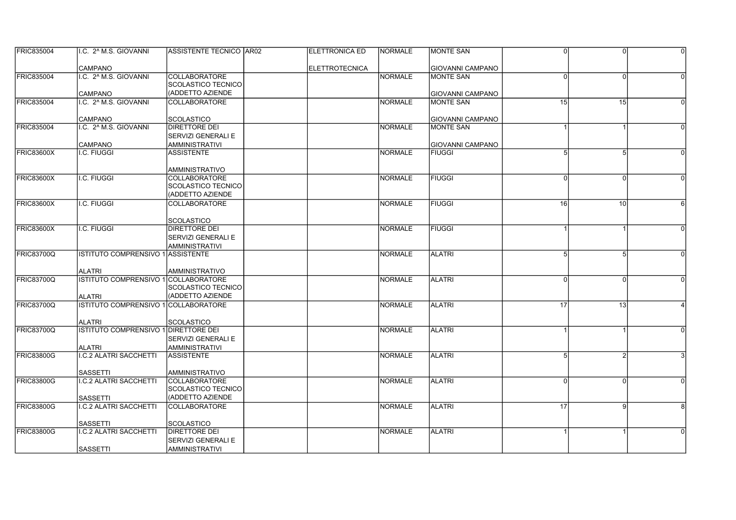| <b>FRIC835004</b> | II.C. 2^ M.S. GIOVANNI                           | ASSISTENTE TECNICO AR02                       | <b>IELETTRONICA ED</b> | <b>INORMALE</b> | <b>IMONTE SAN</b>       | $\Omega$ |          |          |
|-------------------|--------------------------------------------------|-----------------------------------------------|------------------------|-----------------|-------------------------|----------|----------|----------|
|                   | <b>CAMPANO</b>                                   |                                               | <b>ELETTROTECNICA</b>  |                 | <b>GIOVANNI CAMPANO</b> |          |          |          |
| <b>FRIC835004</b> | I.C. 2^ M.S. GIOVANNI                            | <b>COLLABORATORE</b>                          |                        | NORMALE         | <b>MONTE SAN</b>        | U        | $\Omega$ |          |
|                   |                                                  | SCOLASTICO TECNICO                            |                        |                 |                         |          |          |          |
|                   | CAMPANO                                          | (ADDETTO AZIENDE                              |                        |                 | GIOVANNI CAMPANO        |          |          |          |
| <b>FRIC835004</b> | I.C. 2^ M.S. GIOVANNI                            | <b>COLLABORATORE</b>                          |                        | NORMALE         | IMONTE SAN              | 15       | 15       | $\Omega$ |
|                   |                                                  |                                               |                        |                 |                         |          |          |          |
|                   | <b>CAMPANO</b>                                   | <b>SCOLASTICO</b>                             |                        |                 | <b>GIOVANNI CAMPANO</b> |          |          |          |
| <b>FRIC835004</b> | I.C. 2 <sup>^</sup> M.S. GIOVANNI                | <b>DIRETTORE DEI</b>                          |                        | NORMALE         | MONTE SAN               |          |          |          |
|                   |                                                  | <b>SERVIZI GENERALI E</b>                     |                        |                 |                         |          |          |          |
|                   | <b>CAMPANO</b>                                   | <b>AMMINISTRATIVI</b>                         |                        |                 | <b>GIOVANNI CAMPANO</b> |          |          |          |
| <b>FRIC83600X</b> | I.C. FIUGGI                                      | <b>ASSISTENTE</b>                             |                        | NORMALE         | <b>FIUGGI</b>           |          | 5        |          |
|                   |                                                  |                                               |                        |                 |                         |          |          |          |
|                   |                                                  | AMMINISTRATIVO                                |                        |                 |                         |          |          |          |
| <b>FRIC83600X</b> | I.C. FIUGGI                                      | <b>COLLABORATORE</b>                          |                        | NORMALE         | <b>FIUGGI</b>           | $\Omega$ | $\Omega$ | 0        |
|                   |                                                  | <b>SCOLASTICO TECNICO</b>                     |                        |                 |                         |          |          |          |
|                   |                                                  | (ADDETTO AZIENDE                              |                        |                 |                         |          |          |          |
| <b>FRIC83600X</b> | I.C. FIUGGI                                      | <b>COLLABORATORE</b>                          |                        | NORMALE         | <b>FIUGGI</b>           | 16       | 10       |          |
|                   |                                                  |                                               |                        |                 |                         |          |          |          |
|                   |                                                  | SCOLASTICO                                    |                        |                 |                         |          |          |          |
| <b>FRIC83600X</b> | I.C. FIUGGI                                      | DIRETTORE DEI                                 |                        | NORMALE         | <b>FIUGGI</b>           |          |          |          |
|                   |                                                  | SERVIZI GENERALI E                            |                        |                 |                         |          |          |          |
|                   |                                                  | <b>AMMINISTRATIVI</b>                         |                        |                 |                         |          |          |          |
| <b>FRIC83700Q</b> | <b>ISTITUTO COMPRENSIVO 1 ASSISTENTE</b>         |                                               |                        | NORMALE         | <b>ALATRI</b>           | 5        | 5        | $\Omega$ |
|                   |                                                  |                                               |                        |                 |                         |          |          |          |
|                   | <b>ALATRI</b>                                    | <b>AMMINISTRATIVO</b>                         |                        |                 |                         |          |          |          |
| <b>FRIC83700Q</b> | ISTITUTO COMPRENSIVO 1 COLLABORATORE             |                                               |                        | NORMALE         | <b>ALATRI</b>           | $\Omega$ |          |          |
|                   |                                                  | SCOLASTICO TECNICO                            |                        |                 |                         |          |          |          |
|                   | <b>ALATRI</b>                                    | (ADDETTO AZIENDE                              |                        |                 |                         |          |          |          |
| <b>FRIC83700Q</b> | ISTITUTO COMPRENSIVO 1 COLLABORATORE             |                                               |                        | <b>NORMALE</b>  | <b>ALATRI</b>           | 17       | 13       |          |
|                   |                                                  |                                               |                        |                 |                         |          |          |          |
|                   | <b>ALATRI</b>                                    | <b>SCOLASTICO</b>                             |                        |                 |                         |          |          |          |
| FRIC83700Q        | ISTITUTO COMPRENSIVO 1 DIRETTORE DEI             |                                               |                        | <b>NORMALE</b>  | <b>ALATRI</b>           |          |          | $\Omega$ |
|                   |                                                  | <b>SERVIZI GENERALI E</b>                     |                        |                 |                         |          |          |          |
|                   | <b>ALATRI</b>                                    | <b>AMMINISTRATIVI</b>                         |                        |                 |                         |          |          |          |
| <b>FRIC83800G</b> | <b>I.C.2 ALATRI SACCHETTI</b>                    | <b>ASSISTENTE</b>                             |                        | <b>NORMALE</b>  | <b>ALATRI</b>           | 5        |          |          |
|                   |                                                  |                                               |                        |                 |                         |          |          |          |
| FRIC83800G        | <b>SASSETTI</b>                                  | AMMINISTRATIVO                                |                        |                 |                         | $\Omega$ |          |          |
|                   | <b>I.C.2 ALATRI SACCHETTI</b>                    | <b>COLLABORATORE</b>                          |                        | <b>NORMALE</b>  | <b>ALATRI</b>           |          | $\Omega$ |          |
|                   |                                                  | <b>SCOLASTICO TECNICO</b><br>(ADDETTO AZIENDE |                        |                 |                         |          |          |          |
|                   | <b>SASSETTI</b>                                  |                                               |                        |                 |                         |          |          |          |
| <b>FRIC83800G</b> | I.C.2 ALATRI SACCHETTI                           | <b>COLLABORATORE</b>                          |                        | NORMALE         | <b>ALATRI</b>           | 17       | 9        | 8        |
|                   |                                                  |                                               |                        |                 |                         |          |          |          |
| <b>FRIC83800G</b> | <b>SASSETTI</b><br><b>I.C.2 ALATRI SACCHETTI</b> | <b>SCOLASTICO</b><br><b>DIRETTORE DEI</b>     |                        | NORMALE         | <b>ALATRI</b>           |          |          |          |
|                   |                                                  | <b>SERVIZI GENERALI E</b>                     |                        |                 |                         |          |          |          |
|                   |                                                  |                                               |                        |                 |                         |          |          |          |
|                   | <b>SASSETTI</b>                                  | <b>AMMINISTRATIVI</b>                         |                        |                 |                         |          |          |          |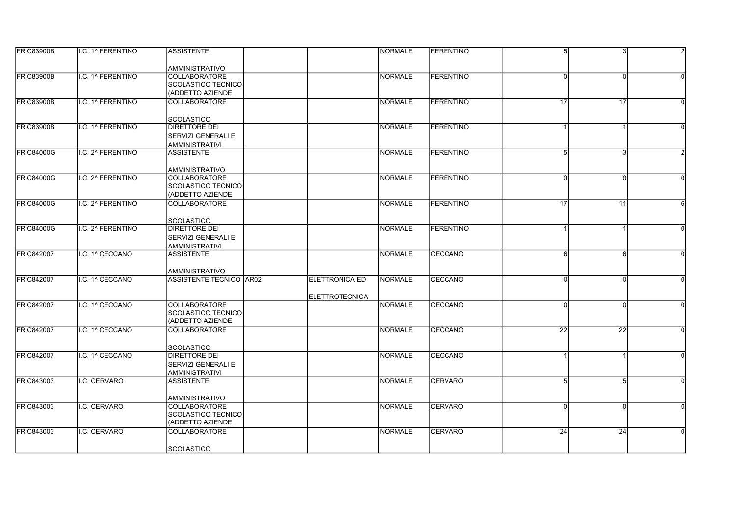| <b>FRIC83900B</b> | II.C. 1^ FERENTINO | <b>ASSISTENTE</b>              |                       | <b>NORMALE</b> | <b>IFERENTINO</b> | 5 <sup>1</sup>  | 3        | $\mathfrak{p}$ |
|-------------------|--------------------|--------------------------------|-----------------------|----------------|-------------------|-----------------|----------|----------------|
|                   |                    | AMMINISTRATIVO                 |                       |                |                   |                 |          |                |
| <b>FRIC83900B</b> | I.C. 1^ FERENTINO  | COLLABORATORE                  |                       | <b>NORMALE</b> | <b>FERENTINO</b>  | ΩI              | $\Omega$ | $\Omega$       |
|                   |                    | SCOLASTICO TECNICO             |                       |                |                   |                 |          |                |
|                   |                    | (ADDETTO AZIENDE               |                       |                |                   |                 |          |                |
| <b>FRIC83900B</b> | I.C. 1^ FERENTINO  | <b>COLLABORATORE</b>           |                       | <b>NORMALE</b> | <b>FERENTINO</b>  | 17              | 17       | $\Omega$       |
|                   |                    | <b>SCOLASTICO</b>              |                       |                |                   |                 |          |                |
| <b>FRIC83900B</b> | I.C. 1^ FERENTINO  | <b>DIRETTORE DEI</b>           |                       | <b>NORMALE</b> | <b>FERENTINO</b>  |                 |          | $\Omega$       |
|                   |                    | SERVIZI GENERALI E             |                       |                |                   |                 |          |                |
|                   |                    | <b>AMMINISTRATIVI</b>          |                       |                |                   |                 |          |                |
| <b>FRIC84000G</b> | I.C. 2^ FERENTINO  | <b>ASSISTENTE</b>              |                       | <b>NORMALE</b> | <b>FERENTINO</b>  | 5               | 3        |                |
|                   |                    | <b>AMMINISTRATIVO</b>          |                       |                |                   |                 |          |                |
| <b>FRIC84000G</b> | I.C. 2^ FERENTINO  | <b>COLLABORATORE</b>           |                       | <b>NORMALE</b> | <b>FERENTINO</b>  | $\Omega$        | $\Omega$ | $\Omega$       |
|                   |                    | <b>SCOLASTICO TECNICO</b>      |                       |                |                   |                 |          |                |
|                   |                    | (ADDETTO AZIENDE               |                       |                |                   |                 |          |                |
| <b>FRIC84000G</b> | I.C. 2^ FERENTINO  | <b>COLLABORATORE</b>           |                       | <b>NORMALE</b> | <b>FERENTINO</b>  | 17 <sup>1</sup> | 11       | 6              |
|                   |                    |                                |                       |                |                   |                 |          |                |
|                   |                    | SCOLASTICO                     |                       |                |                   |                 |          |                |
| <b>FRIC84000G</b> | I.C. 2^ FERENTINO  | <b>DIRETTORE DEI</b>           |                       | <b>NORMALE</b> | FERENTINO         |                 |          |                |
|                   |                    | SERVIZI GENERALI E             |                       |                |                   |                 |          |                |
|                   |                    | <b>AMMINISTRATIVI</b>          |                       |                |                   |                 |          |                |
| <b>FRIC842007</b> | I.C. 1^ CECCANO    | <b>ASSISTENTE</b>              |                       | <b>NORMALE</b> | CECCANO           | 6               | 6        | $\Omega$       |
|                   |                    | <b>AMMINISTRATIVO</b>          |                       |                |                   |                 |          |                |
| <b>FRIC842007</b> | I.C. 1^ CECCANO    | <b>ASSISTENTE TECNICO AR02</b> | <b>ELETTRONICA ED</b> | <b>NORMALE</b> | CECCANO           | $\Omega$        |          | $\Omega$       |
|                   |                    |                                |                       |                |                   |                 |          |                |
|                   |                    |                                | <b>ELETTROTECNICA</b> |                |                   |                 |          |                |
| <b>FRIC842007</b> | I.C. 1^ CECCANO    | COLLABORATORE                  |                       | <b>NORMALE</b> | <b>CECCANO</b>    | ΩI              | $\Omega$ | $\Omega$       |
|                   |                    | <b>SCOLASTICO TECNICO</b>      |                       |                |                   |                 |          |                |
|                   |                    | (ADDETTO AZIENDE               |                       |                |                   |                 |          |                |
| <b>FRIC842007</b> | I.C. 1^ CECCANO    | <b>COLLABORATORE</b>           |                       | <b>NORMALE</b> | CECCANO           | 22              | 22       | $\Omega$       |
|                   |                    |                                |                       |                |                   |                 |          |                |
|                   |                    | <b>SCOLASTICO</b>              |                       |                |                   |                 |          |                |
| <b>FRIC842007</b> | I.C. 1^ CECCANO    | DIRETTORE DEI                  |                       | <b>NORMALE</b> | CECCANO           |                 |          | $\Omega$       |
|                   |                    | SERVIZI GENERALI E             |                       |                |                   |                 |          |                |
|                   |                    | <b>AMMINISTRATIVI</b>          |                       |                |                   |                 |          |                |
| <b>FRIC843003</b> | I.C. CERVARO       | <b>ASSISTENTE</b>              |                       | <b>NORMALE</b> | <b>CERVARO</b>    | 5               | 5        | $\Omega$       |
|                   |                    | <b>AMMINISTRATIVO</b>          |                       |                |                   |                 |          |                |
| <b>FRIC843003</b> | I.C. CERVARO       | <b>COLLABORATORE</b>           |                       | <b>NORMALE</b> | CERVARO           | $\Omega$        | $\Omega$ | $\Omega$       |
|                   |                    | <b>SCOLASTICO TECNICO</b>      |                       |                |                   |                 |          |                |
|                   |                    | (ADDETTO AZIENDE               |                       |                |                   |                 |          |                |
| <b>FRIC843003</b> | I.C. CERVARO       | <b>COLLABORATORE</b>           |                       | <b>NORMALE</b> | <b>ICERVARO</b>   | 24              | 24       | $\Omega$       |
|                   |                    |                                |                       |                |                   |                 |          |                |
|                   |                    | <b>SCOLASTICO</b>              |                       |                |                   |                 |          |                |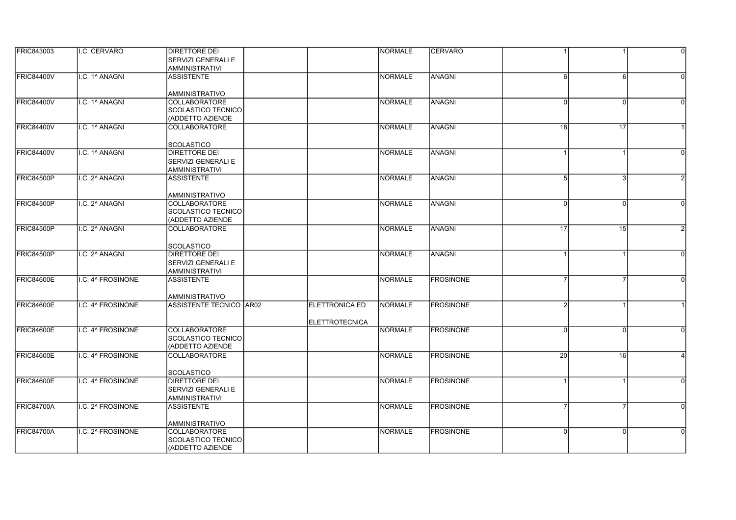| <b>FRIC843003</b> | I.C. CERVARO      | <b>DIRETTORE DEI</b><br>SERVIZI GENERALI E |                       | <b>NORMALE</b> | <b>CERVARO</b>   |                 |              | $\overline{0}$ |
|-------------------|-------------------|--------------------------------------------|-----------------------|----------------|------------------|-----------------|--------------|----------------|
|                   |                   | <b>AMMINISTRATIVI</b>                      |                       |                |                  |                 |              |                |
| <b>FRIC84400V</b> | I.C. 1^ ANAGNI    | <b>ASSISTENTE</b>                          |                       | <b>NORMALE</b> | ANAGNI           | ĥ               | 6            |                |
|                   |                   | <b>AMMINISTRATIVO</b>                      |                       |                |                  |                 |              |                |
| FRIC84400V        | I.C. 1^ ANAGNI    | <b>COLLABORATORE</b>                       |                       | <b>NORMALE</b> | <b>ANAGNI</b>    | 0               | <sup>0</sup> |                |
|                   |                   | SCOLASTICO TECNICO                         |                       |                |                  |                 |              |                |
|                   |                   | (ADDETTO AZIENDE                           |                       |                |                  |                 |              |                |
| <b>FRIC84400V</b> | I.C. 1^ ANAGNI    | <b>COLLABORATORE</b>                       |                       | NORMALE        | ANAGNI           | 18              | 17           |                |
|                   |                   | <b>SCOLASTICO</b>                          |                       |                |                  |                 |              |                |
| <b>FRIC84400V</b> | I.C. 1^ ANAGNI    | <b>DIRETTORE DEI</b>                       |                       | <b>NORMALE</b> | ANAGNI           |                 |              | $\Omega$       |
|                   |                   | <b>SERVIZI GENERALI E</b>                  |                       |                |                  |                 |              |                |
|                   |                   | <b>AMMINISTRATIVI</b>                      |                       |                |                  |                 |              |                |
| FRIC84500P        | I.C. 2^ ANAGNI    | <b>ASSISTENTE</b>                          |                       | <b>NORMALE</b> | ANAGNI           | 5               |              |                |
|                   |                   | <b>AMMINISTRATIVO</b>                      |                       |                |                  |                 |              |                |
| FRIC84500P        | I.C. 2^ ANAGNI    | <b>COLLABORATORE</b>                       |                       | <b>NORMALE</b> | ANAGNI           | $\Omega$        | <sup>0</sup> |                |
|                   |                   | SCOLASTICO TECNICO                         |                       |                |                  |                 |              |                |
|                   |                   | (ADDETTO AZIENDE                           |                       |                |                  |                 |              |                |
| <b>FRIC84500P</b> | I.C. 2^ ANAGNI    | <b>COLLABORATORE</b>                       |                       | <b>NORMALE</b> | ANAGNI           | 17              | 15           |                |
|                   |                   | <b>SCOLASTICO</b>                          |                       |                |                  |                 |              |                |
| FRIC84500P        | I.C. 2^ ANAGNI    | <b>DIRETTORE DEI</b>                       |                       | <b>NORMALE</b> | ANAGNI           |                 |              | $\Omega$       |
|                   |                   | <b>SERVIZI GENERALI E</b>                  |                       |                |                  |                 |              |                |
|                   |                   | <b>AMMINISTRATIVI</b>                      |                       |                |                  |                 |              |                |
| <b>FRIC84600E</b> | I.C. 4^ FROSINONE | <b>ASSISTENTE</b>                          |                       | <b>NORMALE</b> | <b>FROSINONE</b> |                 |              | $\Omega$       |
|                   |                   | <b>AMMINISTRATIVO</b>                      |                       |                |                  |                 |              |                |
| FRIC84600E        | I.C. 4^ FROSINONE | <b>ASSISTENTE TECNICO AR02</b>             | <b>ELETTRONICA ED</b> | <b>NORMALE</b> | <b>FROSINONE</b> |                 |              |                |
|                   |                   |                                            |                       |                |                  |                 |              |                |
|                   |                   |                                            | <b>ELETTROTECNICA</b> |                |                  |                 |              |                |
| <b>FRIC84600E</b> | I.C. 4^ FROSINONE | <b>COLLABORATORE</b>                       |                       | <b>NORMALE</b> | <b>FROSINONE</b> | $\Omega$        | $\Omega$     |                |
|                   |                   | SCOLASTICO TECNICO                         |                       |                |                  |                 |              |                |
|                   |                   | (ADDETTO AZIENDE                           |                       |                |                  |                 |              |                |
| FRIC84600E        | I.C. 4^ FROSINONE | <b>COLLABORATORE</b>                       |                       | <b>NORMALE</b> | <b>FROSINONE</b> | 20 <sup>1</sup> | 16           |                |
|                   |                   | <b>SCOLASTICO</b>                          |                       |                |                  |                 |              |                |
| FRIC84600E        | I.C. 4^ FROSINONE | <b>DIRETTORE DEI</b>                       |                       | <b>NORMALE</b> | <b>FROSINONE</b> |                 |              | $\Omega$       |
|                   |                   | SERVIZI GENERALI E                         |                       |                |                  |                 |              |                |
|                   |                   | <b>AMMINISTRATIVI</b>                      |                       |                |                  |                 |              |                |
| <b>FRIC84700A</b> | I.C. 2^ FROSINONE | <b>ASSISTENTE</b>                          |                       | <b>NORMALE</b> | <b>FROSINONE</b> |                 |              | $\Omega$       |
|                   |                   |                                            |                       |                |                  |                 |              |                |
|                   |                   | AMMINISTRATIVO                             |                       |                |                  |                 |              |                |
| FRIC84700A        | I.C. 2^ FROSINONE | <b>COLLABORATORE</b>                       |                       | <b>NORMALE</b> | <b>FROSINONE</b> | Οl              | $\Omega$     | $\Omega$       |
|                   |                   | SCOLASTICO TECNICO<br>(ADDETTO AZIENDE     |                       |                |                  |                 |              |                |
|                   |                   |                                            |                       |                |                  |                 |              |                |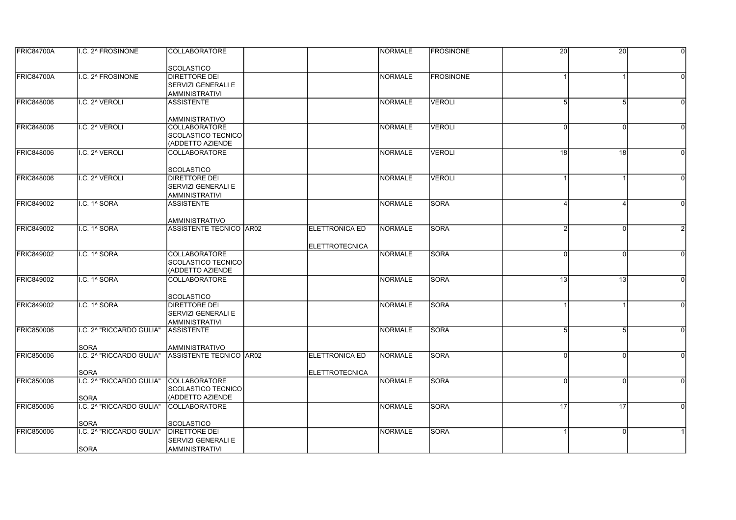| <b>FRIC84700A</b> | I.C. 2^ FROSINONE        | <b>COLLABORATORE</b>                          |                       | <b>NORMALE</b> | <b>IFROSINONE</b> | $\overline{20}$ | 20              | $\Omega$ |
|-------------------|--------------------------|-----------------------------------------------|-----------------------|----------------|-------------------|-----------------|-----------------|----------|
|                   |                          | <b>SCOLASTICO</b>                             |                       |                |                   |                 |                 |          |
| FRIC84700A        | I.C. 2^ FROSINONE        | <b>DIRETTORE DEI</b>                          |                       | <b>NORMALE</b> | <b>FROSINONE</b>  |                 |                 |          |
|                   |                          | SERVIZI GENERALI E                            |                       |                |                   |                 |                 |          |
|                   |                          | <b>AMMINISTRATIVI</b>                         |                       |                |                   |                 |                 |          |
| <b>FRIC848006</b> | I.C. 2^ VEROLI           | <b>ASSISTENTE</b>                             |                       | <b>NORMALE</b> | VEROLI            | 5               | 5               | $\Omega$ |
|                   |                          |                                               |                       |                |                   |                 |                 |          |
|                   |                          | <b>AMMINISTRATIVO</b>                         |                       |                |                   |                 |                 |          |
| <b>FRIC848006</b> | I.C. 2^ VEROLI           | <b>COLLABORATORE</b>                          |                       | <b>NORMALE</b> | VEROLI            | $\Omega$        | $\Omega$        | $\Omega$ |
|                   |                          | SCOLASTICO TECNICO                            |                       |                |                   |                 |                 |          |
|                   |                          | (ADDETTO AZIENDE                              |                       |                |                   |                 |                 |          |
| <b>FRIC848006</b> | I.C. 2^ VEROLI           | <b>COLLABORATORE</b>                          |                       | <b>NORMALE</b> | VEROLI            | $\overline{18}$ | $\overline{18}$ | $\Omega$ |
|                   |                          | <b>SCOLASTICO</b>                             |                       |                |                   |                 |                 |          |
| <b>FRIC848006</b> | I.C. 2^ VEROLI           | DIRETTORE DEI                                 |                       | <b>NORMALE</b> | <b>VEROLI</b>     |                 |                 | $\Omega$ |
|                   |                          | <b>SERVIZI GENERALI E</b>                     |                       |                |                   |                 |                 |          |
|                   |                          | <b>AMMINISTRATIVI</b>                         |                       |                |                   |                 |                 |          |
| <b>FRIC849002</b> | I.C. 1^ SORA             | <b>ASSISTENTE</b>                             |                       | <b>NORMALE</b> | SORA              |                 |                 | $\Omega$ |
|                   |                          |                                               |                       |                |                   |                 |                 |          |
|                   |                          | AMMINISTRATIVO                                |                       |                |                   |                 |                 |          |
| <b>FRIC849002</b> | I.C. 1^ SORA             | ASSISTENTE TECNICO AR02                       | <b>ELETTRONICA ED</b> | <b>NORMALE</b> | SORA              |                 | $\Omega$        |          |
|                   |                          |                                               |                       |                |                   |                 |                 |          |
|                   |                          |                                               | <b>ELETTROTECNICA</b> |                |                   |                 |                 |          |
| FRIC849002        | I.C. 1^ SORA             | <b>COLLABORATORE</b>                          |                       | <b>NORMALE</b> | <b>SORA</b>       | 0               | $\Omega$        | $\Omega$ |
|                   |                          | <b>SCOLASTICO TECNICO</b><br>(ADDETTO AZIENDE |                       |                |                   |                 |                 |          |
| FRIC849002        | I.C. 1^ SORA             | <b>COLLABORATORE</b>                          |                       | <b>NORMALE</b> | <b>SORA</b>       | 13              | 13              | $\Omega$ |
|                   |                          |                                               |                       |                |                   |                 |                 |          |
|                   |                          | <b>SCOLASTICO</b>                             |                       |                |                   |                 |                 |          |
| <b>FRIC849002</b> | I.C. 1^ SORA             | DIRETTORE DEI                                 |                       | <b>NORMALE</b> | <b>SORA</b>       |                 |                 | $\Omega$ |
|                   |                          | SERVIZI GENERALI E                            |                       |                |                   |                 |                 |          |
|                   |                          | <b>AMMINISTRATIVI</b>                         |                       |                |                   |                 |                 |          |
| <b>FRIC850006</b> | I.C. 2^ "RICCARDO GULIA" | <b>ASSISTENTE</b>                             |                       | <b>NORMALE</b> | <b>SORA</b>       | 5               | 5               | $\Omega$ |
|                   |                          |                                               |                       |                |                   |                 |                 |          |
|                   | <b>SORA</b>              | <b>AMMINISTRATIVO</b>                         |                       |                |                   |                 |                 |          |
| <b>FRIC850006</b> | I.C. 2^ "RICCARDO GULIA" | ASSISTENTE TECNICO AR02                       | <b>ELETTRONICA ED</b> | <b>NORMALE</b> | <b>SORA</b>       | $\Omega$        | $\Omega$        | $\Omega$ |
|                   | <b>SORA</b>              |                                               | <b>ELETTROTECNICA</b> |                |                   |                 |                 |          |
| <b>FRIC850006</b> | I.C. 2^ "RICCARDO GULIA" | <b>COLLABORATORE</b>                          |                       | <b>NORMALE</b> | <b>SORA</b>       | 0               | $\Omega$        | $\Omega$ |
|                   |                          | SCOLASTICO TECNICO                            |                       |                |                   |                 |                 |          |
|                   | <b>SORA</b>              | (ADDETTO AZIENDE                              |                       |                |                   |                 |                 |          |
| <b>FRIC850006</b> | I.C. 2^ "RICCARDO GULIA" | <b>COLLABORATORE</b>                          |                       | <b>NORMALE</b> | <b>SORA</b>       | 17              | 17              | $\Omega$ |
|                   |                          |                                               |                       |                |                   |                 |                 |          |
|                   | <b>SORA</b>              | <b>SCOLASTICO</b>                             |                       |                |                   |                 |                 |          |
| <b>FRIC850006</b> | I.C. 2^ "RICCARDO GULIA" | DIRETTORE DEI                                 |                       | <b>NORMALE</b> | <b>SORA</b>       |                 | $\Omega$        |          |
|                   |                          | <b>SERVIZI GENERALI E</b>                     |                       |                |                   |                 |                 |          |
|                   | <b>SORA</b>              | AMMINISTRATIVI                                |                       |                |                   |                 |                 |          |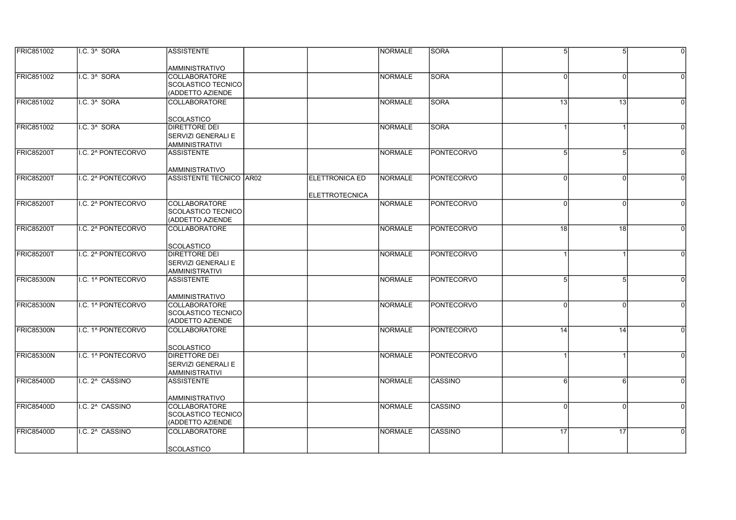| <b>FRIC851002</b> | I.C. 3 <sup>^</sup> SORA | <b>ASSISTENTE</b>         |                       | <b>NORMALE</b> | <b>SORA</b>       | 5 <sup>1</sup>  | 5 <sub>l</sub>  | $\Omega$ |
|-------------------|--------------------------|---------------------------|-----------------------|----------------|-------------------|-----------------|-----------------|----------|
|                   |                          |                           |                       |                |                   |                 |                 |          |
|                   |                          | <b>AMMINISTRATIVO</b>     |                       |                |                   |                 |                 |          |
| FRIC851002        | I.C. 3^ SORA             | COLLABORATORE             |                       | <b>NORMALE</b> | <b>SORA</b>       | ΩI              | $\Omega$        | $\Omega$ |
|                   |                          | SCOLASTICO TECNICO        |                       |                |                   |                 |                 |          |
|                   |                          | (ADDETTO AZIENDE          |                       |                |                   |                 |                 |          |
| FRIC851002        | I.C. 3^ SORA             | <b>COLLABORATORE</b>      |                       | <b>NORMALE</b> | <b>SORA</b>       | 13              | 13              | $\Omega$ |
|                   |                          |                           |                       |                |                   |                 |                 |          |
|                   |                          | <b>SCOLASTICO</b>         |                       |                |                   |                 |                 |          |
| FRIC851002        | I.C. 3^ SORA             | DIRETTORE DEI             |                       | <b>NORMALE</b> | <b>SORA</b>       |                 |                 | $\Omega$ |
|                   |                          | <b>SERVIZI GENERALI E</b> |                       |                |                   |                 |                 |          |
|                   |                          | <b>AMMINISTRATIVI</b>     |                       |                |                   |                 |                 |          |
| FRIC85200T        | I.C. 2^ PONTECORVO       | <b>ASSISTENTE</b>         |                       | <b>NORMALE</b> | <b>PONTECORVO</b> | 5               |                 |          |
|                   |                          |                           |                       |                |                   |                 |                 |          |
|                   |                          | <b>AMMINISTRATIVO</b>     |                       |                |                   |                 |                 |          |
| FRIC85200T        | I.C. 2^ PONTECORVO       | ASSISTENTE TECNICO AR02   | <b>ELETTRONICA ED</b> | <b>NORMALE</b> | <b>PONTECORVO</b> | $\Omega$        | $\Omega$        | $\Omega$ |
|                   |                          |                           |                       |                |                   |                 |                 |          |
|                   |                          |                           | <b>ELETTROTECNICA</b> |                |                   |                 |                 |          |
| FRIC85200T        | I.C. 2^ PONTECORVO       | <b>COLLABORATORE</b>      |                       | <b>NORMALE</b> | <b>PONTECORVO</b> | <sup>0</sup>    | $\Omega$        | $\Omega$ |
|                   |                          | SCOLASTICO TECNICO        |                       |                |                   |                 |                 |          |
|                   |                          | (ADDETTO AZIENDE          |                       |                |                   |                 |                 |          |
| FRIC85200T        | I.C. 2^ PONTECORVO       | COLLABORATORE             |                       | <b>NORMALE</b> | <b>PONTECORVO</b> | $\overline{18}$ | $\overline{18}$ |          |
|                   |                          |                           |                       |                |                   |                 |                 |          |
|                   |                          | <b>SCOLASTICO</b>         |                       |                |                   |                 |                 |          |
| <b>FRIC85200T</b> | I.C. 2^ PONTECORVO       | DIRETTORE DEI             |                       | <b>NORMALE</b> | PONTECORVO        |                 |                 | $\Omega$ |
|                   |                          |                           |                       |                |                   |                 |                 |          |
|                   |                          | SERVIZI GENERALI E        |                       |                |                   |                 |                 |          |
|                   |                          | AMMINISTRATIVI            |                       |                | <b>PONTECORVO</b> |                 |                 |          |
| FRIC85300N        | I.C. 1^ PONTECORVO       | <b>ASSISTENTE</b>         |                       | <b>NORMALE</b> |                   | 5 <sup>1</sup>  | 5               |          |
|                   |                          |                           |                       |                |                   |                 |                 |          |
|                   |                          | AMMINISTRATIVO            |                       |                |                   |                 |                 |          |
| FRIC85300N        | I.C. 1^ PONTECORVO       | COLLABORATORE             |                       | <b>NORMALE</b> | PONTECORVO        | ΩI              | $\Omega$        | $\Omega$ |
|                   |                          | SCOLASTICO TECNICO        |                       |                |                   |                 |                 |          |
|                   |                          | (ADDETTO AZIENDE          |                       |                |                   |                 |                 |          |
| <b>FRIC85300N</b> | I.C. 1^ PONTECORVO       | <b>COLLABORATORE</b>      |                       | <b>NORMALE</b> | <b>PONTECORVO</b> | 14              | 14              | $\Omega$ |
|                   |                          |                           |                       |                |                   |                 |                 |          |
|                   |                          | <b>SCOLASTICO</b>         |                       |                |                   |                 |                 |          |
| FRIC85300N        | I.C. 1^ PONTECORVO       | <b>DIRETTORE DEI</b>      |                       | <b>NORMALE</b> | PONTECORVO        |                 |                 |          |
|                   |                          | <b>SERVIZI GENERALI E</b> |                       |                |                   |                 |                 |          |
|                   |                          | <b>AMMINISTRATIVI</b>     |                       |                |                   |                 |                 |          |
| FRIC85400D        | I.C. 2^ CASSINO          | <b>ASSISTENTE</b>         |                       | <b>NORMALE</b> | <b>CASSINO</b>    | 6               | 6               | $\Omega$ |
|                   |                          |                           |                       |                |                   |                 |                 |          |
|                   |                          | <b>AMMINISTRATIVO</b>     |                       |                |                   |                 |                 |          |
| <b>FRIC85400D</b> | I.C. 2^ CASSINO          | <b>COLLABORATORE</b>      |                       | <b>NORMALE</b> | <b>CASSINO</b>    | ΩI              | $\Omega$        | $\Omega$ |
|                   |                          | SCOLASTICO TECNICO        |                       |                |                   |                 |                 |          |
|                   |                          | (ADDETTO AZIENDE          |                       |                |                   |                 |                 |          |
| FRIC85400D        | I.C. 2^ CASSINO          | <b>COLLABORATORE</b>      |                       | <b>NORMALE</b> | <b>CASSINO</b>    | $\overline{17}$ | 17              | $\Omega$ |
|                   |                          |                           |                       |                |                   |                 |                 |          |
|                   |                          | <b>SCOLASTICO</b>         |                       |                |                   |                 |                 |          |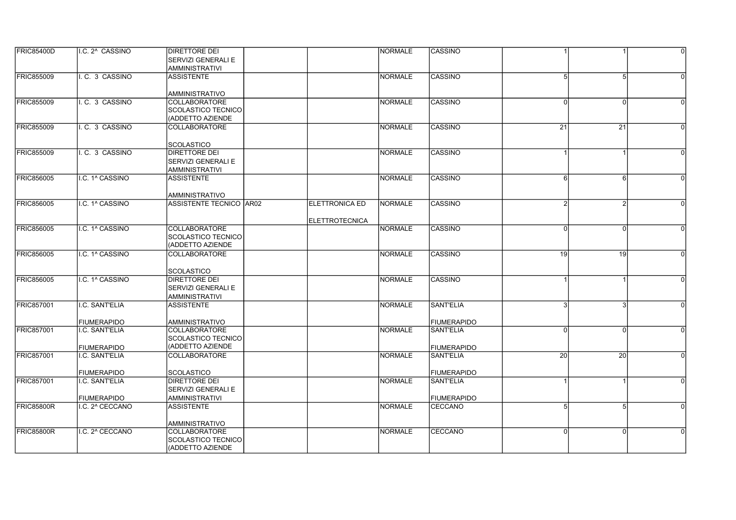| <b>FRIC85400D</b> | I.C. 2^ CASSINO                      | <b>DIRETTORE DEI</b>                          |                       | <b>NORMALE</b> | <b>CASSINO</b>                         |           |                 | $\overline{0}$ |
|-------------------|--------------------------------------|-----------------------------------------------|-----------------------|----------------|----------------------------------------|-----------|-----------------|----------------|
|                   |                                      | SERVIZI GENERALI E                            |                       |                |                                        |           |                 |                |
|                   |                                      | AMMINISTRATIVI                                |                       |                |                                        |           |                 |                |
| <b>FRIC855009</b> | I. C. 3 CASSINO                      | <b>ASSISTENTE</b>                             |                       | <b>NORMALE</b> | CASSINO                                | 5         | 5               |                |
|                   |                                      |                                               |                       |                |                                        |           |                 |                |
|                   |                                      | <b>AMMINISTRATIVO</b>                         |                       |                |                                        |           |                 |                |
| <b>FRIC855009</b> | I. C. 3 CASSINO                      | <b>COLLABORATORE</b>                          |                       | <b>NORMALE</b> | <b>CASSINO</b>                         | 0         | <sup>0</sup>    |                |
|                   |                                      | <b>SCOLASTICO TECNICO</b>                     |                       |                |                                        |           |                 |                |
|                   |                                      | (ADDETTO AZIENDE                              |                       |                |                                        |           |                 |                |
| <b>FRIC855009</b> | I. C. 3 CASSINO                      | <b>COLLABORATORE</b>                          |                       | <b>NORMALE</b> | CASSINO                                | 21        | $\overline{21}$ | $\Omega$       |
|                   |                                      |                                               |                       |                |                                        |           |                 |                |
|                   |                                      | <b>SCOLASTICO</b>                             |                       |                |                                        |           |                 |                |
| FRIC855009        | I. C. 3 CASSINO                      | DIRETTORE DEI                                 |                       | <b>NORMALE</b> | <b>CASSINO</b>                         |           |                 | $\Omega$       |
|                   |                                      | <b>SERVIZI GENERALI E</b>                     |                       |                |                                        |           |                 |                |
|                   |                                      | <b>AMMINISTRATIVI</b>                         |                       |                |                                        |           |                 |                |
| <b>FRIC856005</b> | I.C. 1^ CASSINO                      | <b>ASSISTENTE</b>                             |                       | <b>NORMALE</b> | CASSINO                                | 6         | 6               |                |
|                   |                                      |                                               |                       |                |                                        |           |                 |                |
|                   |                                      | <b>AMMINISTRATIVO</b>                         |                       |                |                                        |           |                 |                |
| <b>FRIC856005</b> | I.C. 1^ CASSINO                      | ASSISTENTE TECNICO AR02                       | <b>ELETTRONICA ED</b> | <b>NORMALE</b> | <b>CASSINO</b>                         |           |                 |                |
|                   |                                      |                                               |                       |                |                                        |           |                 |                |
|                   |                                      |                                               | <b>ELETTROTECNICA</b> |                |                                        |           |                 |                |
| <b>FRIC856005</b> | I.C. 1^ CASSINO                      | <b>COLLABORATORE</b>                          |                       | <b>NORMALE</b> | <b>CASSINO</b>                         | 0         | $\Omega$        |                |
|                   |                                      | <b>SCOLASTICO TECNICO</b>                     |                       |                |                                        |           |                 |                |
|                   |                                      | (ADDETTO AZIENDE                              |                       |                |                                        |           |                 |                |
| <b>FRIC856005</b> | I.C. 1^ CASSINO                      | <b>COLLABORATORE</b>                          |                       | <b>NORMALE</b> | <b>CASSINO</b>                         | 19        | 19              | $\Omega$       |
|                   |                                      |                                               |                       |                |                                        |           |                 |                |
|                   |                                      | <b>SCOLASTICO</b>                             |                       |                |                                        |           |                 |                |
| <b>FRIC856005</b> | I.C. 1^ CASSINO                      | <b>DIRETTORE DEI</b>                          |                       | <b>NORMALE</b> | CASSINO                                |           |                 | $\Omega$       |
|                   |                                      | <b>SERVIZI GENERALI E</b>                     |                       |                |                                        |           |                 |                |
|                   |                                      | <b>AMMINISTRATIVI</b>                         |                       |                |                                        |           |                 |                |
| <b>FRIC857001</b> | I.C. SANT'ELIA                       | <b>ASSISTENTE</b>                             |                       | <b>NORMALE</b> | <b>SANT'ELIA</b>                       |           |                 |                |
|                   |                                      |                                               |                       |                |                                        |           |                 |                |
| <b>FRIC857001</b> | <b>FIUMERAPIDO</b><br>I.C. SANT'ELIA | <b>AMMINISTRATIVO</b><br><b>COLLABORATORE</b> |                       | <b>NORMALE</b> | <b>FIUMERAPIDO</b><br><b>SANT'ELIA</b> | $\Omega$  | $\Omega$        |                |
|                   |                                      | SCOLASTICO TECNICO                            |                       |                |                                        |           |                 |                |
|                   |                                      | (ADDETTO AZIENDE                              |                       |                |                                        |           |                 |                |
| <b>FRIC857001</b> | <b>FIUMERAPIDO</b><br>I.C. SANT'ELIA | <b>COLLABORATORE</b>                          |                       | <b>NORMALE</b> | FIUMERAPIDO<br><b>SANT'ELIA</b>        | <b>20</b> | 20              | $\Omega$       |
|                   |                                      |                                               |                       |                |                                        |           |                 |                |
|                   | <b>FIUMERAPIDO</b>                   | <b>SCOLASTICO</b>                             |                       |                | <b>FIUMERAPIDO</b>                     |           |                 |                |
| <b>FRIC857001</b> | I.C. SANT'ELIA                       | <b>DIRETTORE DEI</b>                          |                       | <b>NORMALE</b> | <b>SANT'ELIA</b>                       |           |                 | $\Omega$       |
|                   |                                      | SERVIZI GENERALI E                            |                       |                |                                        |           |                 |                |
|                   | <b>FIUMERAPIDO</b>                   | <b>AMMINISTRATIVI</b>                         |                       |                | FIUMERAPIDO                            |           |                 |                |
| <b>FRIC85800R</b> | I.C. 2^ CECCANO                      | <b>ASSISTENTE</b>                             |                       | <b>NORMALE</b> | CECCANO                                | 5         | 5               |                |
|                   |                                      |                                               |                       |                |                                        |           |                 |                |
|                   |                                      | AMMINISTRATIVO                                |                       |                |                                        |           |                 |                |
| FRIC85800R        | I.C. 2^ CECCANO                      | <b>COLLABORATORE</b>                          |                       | <b>NORMALE</b> | CECCANO                                | 0l        | $\Omega$        | $\Omega$       |
|                   |                                      | SCOLASTICO TECNICO                            |                       |                |                                        |           |                 |                |
|                   |                                      | (ADDETTO AZIENDE                              |                       |                |                                        |           |                 |                |
|                   |                                      |                                               |                       |                |                                        |           |                 |                |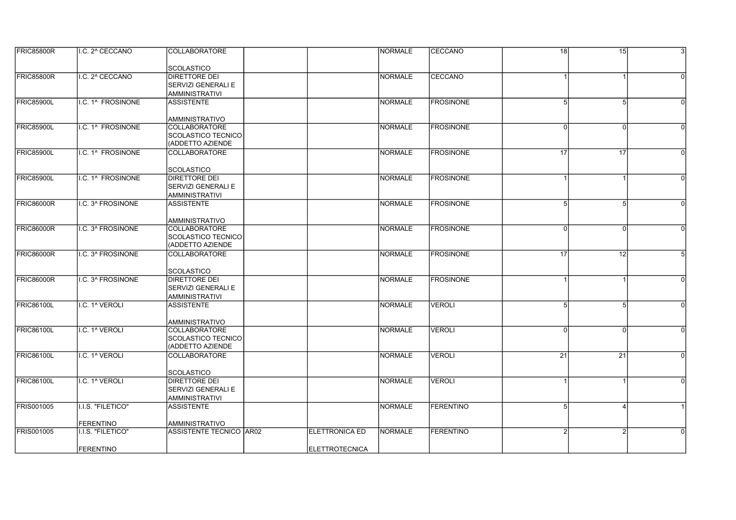| <b>FRIC85800R</b> | II.C. 2^ CECCANO  | <b>COLLABORATORE</b>                          |                       | <b>INORMALE</b> | <b>CECCANO</b>    | 18l            | $\overline{15}$ | $\mathbf{3}$ |
|-------------------|-------------------|-----------------------------------------------|-----------------------|-----------------|-------------------|----------------|-----------------|--------------|
|                   |                   | <b>SCOLASTICO</b>                             |                       |                 |                   |                |                 |              |
| <b>FRIC85800R</b> | I.C. 2^ CECCANO   | <b>DIRETTORE DEI</b>                          |                       | <b>NORMALE</b>  | CECCANO           |                |                 |              |
|                   |                   | <b>SERVIZI GENERALI E</b>                     |                       |                 |                   |                |                 |              |
|                   |                   | <b>AMMINISTRATIVI</b>                         |                       |                 |                   |                |                 |              |
| <b>FRIC85900L</b> | I.C. 1^ FROSINONE | <b>ASSISTENTE</b>                             |                       | NORMALE         | <b>FROSINONE</b>  | 5              | 5               |              |
|                   |                   | <b>AMMINISTRATIVO</b>                         |                       |                 |                   |                |                 |              |
| <b>FRIC85900L</b> | I.C. 1^ FROSINONE | <b>COLLABORATORE</b>                          |                       | NORMALE         | <b>FROSINONE</b>  | $\Omega$       | <sup>0</sup>    |              |
|                   |                   | SCOLASTICO TECNICO                            |                       |                 |                   |                |                 |              |
|                   |                   | (ADDETTO AZIENDE                              |                       |                 |                   |                |                 |              |
| <b>FRIC85900L</b> | I.C. 1^ FROSINONE | <b>COLLABORATORE</b>                          |                       | <b>NORMALE</b>  | <b>FROSINONE</b>  | 17             | 17              |              |
|                   |                   | <b>SCOLASTICO</b>                             |                       |                 |                   |                |                 |              |
| <b>FRIC85900L</b> | I.C. 1^ FROSINONE | <b>DIRETTORE DEI</b>                          |                       | NORMALE         | <b>FROSINONE</b>  |                |                 | $\Omega$     |
|                   |                   | <b>SERVIZI GENERALI E</b>                     |                       |                 |                   |                |                 |              |
|                   |                   | <b>AMMINISTRATIVI</b>                         |                       |                 |                   |                |                 |              |
| FRIC86000R        | I.C. 3^ FROSINONE | <b>ASSISTENTE</b>                             |                       | NORMALE         | <b>FROSINONE</b>  | 5 <sup>1</sup> | 5               |              |
|                   |                   |                                               |                       |                 |                   |                |                 |              |
|                   |                   | AMMINISTRATIVO                                |                       |                 |                   |                |                 |              |
| <b>FRIC86000R</b> | I.C. 3^ FROSINONE | <b>COLLABORATORE</b>                          |                       | <b>NORMALE</b>  | <b>FROSINONE</b>  | U              | $\Omega$        |              |
|                   |                   | <b>SCOLASTICO TECNICO</b><br>(ADDETTO AZIENDE |                       |                 |                   |                |                 |              |
| <b>FRIC86000R</b> | I.C. 3^ FROSINONE | <b>COLLABORATORE</b>                          |                       | NORMALE         | <b>IFROSINONE</b> | 17             | 12              |              |
|                   |                   |                                               |                       |                 |                   |                |                 |              |
|                   |                   | <b>SCOLASTICO</b>                             |                       |                 |                   |                |                 |              |
| <b>FRIC86000R</b> | I.C. 3^ FROSINONE | <b>DIRETTORE DEI</b>                          |                       | NORMALE         | <b>IFROSINONE</b> |                |                 |              |
|                   |                   | <b>SERVIZI GENERALI E</b>                     |                       |                 |                   |                |                 |              |
|                   |                   | <b>AMMINISTRATIVI</b>                         |                       |                 |                   |                |                 |              |
| <b>FRIC86100L</b> | I.C. 1^ VEROLI    | <b>ASSISTENTE</b>                             |                       | NORMALE         | VEROLI            | 5              |                 |              |
|                   |                   |                                               |                       |                 |                   |                |                 |              |
| <b>FRIC86100L</b> | I.C. 1^ VEROLI    | <b>AMMINISTRATIVO</b><br><b>COLLABORATORE</b> |                       | NORMALE         | <b>VEROLI</b>     | $\Omega$       | $\Omega$        | $\Omega$     |
|                   |                   | <b>SCOLASTICO TECNICO</b>                     |                       |                 |                   |                |                 |              |
|                   |                   | (ADDETTO AZIENDE                              |                       |                 |                   |                |                 |              |
| <b>FRIC86100L</b> | I.C. 1^ VEROLI    | COLLABORATORE                                 |                       | NORMALE         | <b>VEROLI</b>     | 21             | 21              |              |
|                   |                   |                                               |                       |                 |                   |                |                 |              |
|                   |                   | <b>SCOLASTICO</b>                             |                       |                 |                   |                |                 |              |
| <b>FRIC86100L</b> | I.C. 1^ VEROLI    | <b>DIRETTORE DEI</b>                          |                       | <b>INORMALE</b> | <b>VEROLI</b>     |                |                 |              |
|                   |                   | <b>SERVIZI GENERALI E</b>                     |                       |                 |                   |                |                 |              |
|                   |                   | <b>AMMINISTRATIVI</b>                         |                       |                 |                   |                |                 |              |
| <b>FRIS001005</b> | I.I.S. "FILETICO" | <b>ASSISTENTE</b>                             |                       | <b>NORMALE</b>  | <b>FERENTINO</b>  | 5              |                 |              |
|                   | <b>FERENTINO</b>  | <b>AMMINISTRATIVO</b>                         |                       |                 |                   |                |                 |              |
| <b>FRIS001005</b> | I.I.S. "FILETICO" | ASSISTENTE TECNICO AR02                       | <b>ELETTRONICA ED</b> | NORMALE         | <b>FERENTINO</b>  |                |                 |              |
|                   |                   |                                               |                       |                 |                   |                |                 |              |
|                   | <b>FERENTINO</b>  |                                               | <b>ELETTROTECNICA</b> |                 |                   |                |                 |              |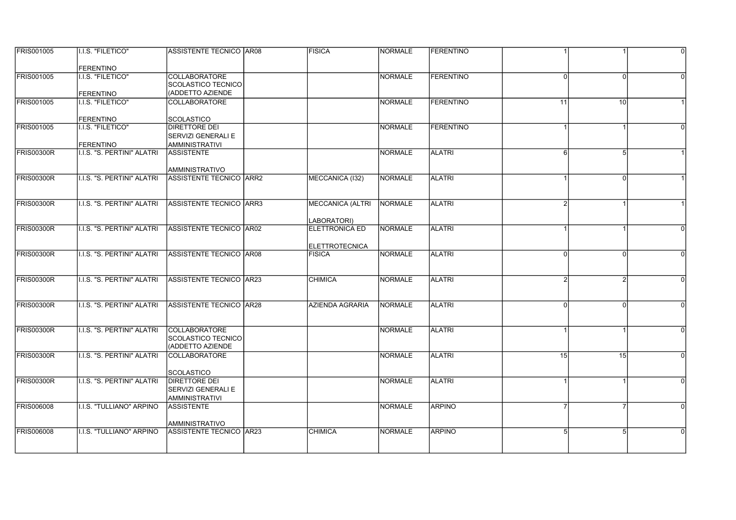| <b>FRIS001005</b> | II.I.S. "FILETICO"          | <b>ASSISTENTE TECNICO AR08</b>                   | <b>FISICA</b>                          | <b>INORMALE</b> | <b>IFERENTINO</b> |          |          | $\Omega$ |
|-------------------|-----------------------------|--------------------------------------------------|----------------------------------------|-----------------|-------------------|----------|----------|----------|
|                   | <b>FERENTINO</b>            |                                                  |                                        |                 |                   |          |          |          |
| <b>FRIS001005</b> | I.I.S. "FILETICO"           | <b>COLLABORATORE</b>                             |                                        | NORMALE         | <b>FERENTINO</b>  | $\Omega$ | $\Omega$ |          |
|                   |                             | SCOLASTICO TECNICO                               |                                        |                 |                   |          |          |          |
|                   | <b>FERENTINO</b>            | (ADDETTO AZIENDE                                 |                                        |                 |                   |          |          |          |
| <b>FRIS001005</b> | <b>I.I.S. "FILETICO"</b>    | <b>COLLABORATORE</b>                             |                                        | NORMALE         | FERENTINO         | 11       | 10       |          |
|                   | <b>FERENTINO</b>            | <b>SCOLASTICO</b>                                |                                        |                 |                   |          |          |          |
| <b>FRIS001005</b> | I.I.S. "FILETICO"           | <b>DIRETTORE DEI</b>                             |                                        | NORMALE         | FERENTINO         |          |          |          |
|                   |                             | <b>SERVIZI GENERALI E</b>                        |                                        |                 |                   |          |          |          |
|                   | <b>FERENTINO</b>            | <b>AMMINISTRATIVI</b>                            |                                        |                 |                   |          |          |          |
| FRIS00300R        | I.I.S. "S. PERTINI" ALATRI  | <b>ASSISTENTE</b>                                |                                        | NORMALE         | <b>ALATRI</b>     | 6        | 5        |          |
|                   |                             | <b>AMMINISTRATIVO</b>                            |                                        |                 |                   |          |          |          |
| FRIS00300R        | II.I.S. "S. PERTINI" ALATRI | <b>ASSISTENTE TECNICO ARR2</b>                   | MECCANICA (I32)                        | <b>INORMALE</b> | <b>ALATRI</b>     |          | $\Omega$ |          |
|                   |                             |                                                  |                                        |                 |                   |          |          |          |
| FRIS00300R        | I.I.S. "S. PERTINI" ALATRI  | ASSISTENTE TECNICO ARR3                          | <b>MECCANICA (ALTRI</b>                | NORMALE         | <b>ALATRI</b>     |          |          |          |
|                   |                             |                                                  |                                        |                 |                   |          |          |          |
|                   |                             |                                                  | LABORATORI)                            |                 |                   |          |          |          |
| <b>FRIS00300R</b> | I.I.S. "S. PERTINI" ALATRI  | ASSISTENTE TECNICO AR02                          | <b>ELETTRONICA ED</b>                  | <b>NORMALE</b>  | <b>ALATRI</b>     |          |          |          |
|                   |                             |                                                  |                                        |                 |                   |          |          |          |
| FRIS00300R        | I.I.S. "S. PERTINI" ALATRI  | ASSISTENTE TECNICO AR08                          | <b>ELETTROTECNICA</b><br><b>FISICA</b> | NORMALE         | <b>ALATRI</b>     | $\Omega$ | $\Omega$ | $\Omega$ |
|                   |                             |                                                  |                                        |                 |                   |          |          |          |
|                   |                             |                                                  |                                        |                 |                   |          |          |          |
| <b>FRIS00300R</b> | I.I.S. "S. PERTINI" ALATRI  | ASSISTENTE TECNICO   AR23                        | <b>CHIMICA</b>                         | NORMALE         | <b>ALATRI</b>     |          |          |          |
|                   |                             |                                                  |                                        |                 |                   |          |          |          |
| <b>FRIS00300R</b> |                             |                                                  |                                        |                 | <b>ALATRI</b>     | $\Omega$ | $\Omega$ | $\Omega$ |
|                   | I.I.S. "S. PERTINI" ALATRI  | <b>ASSISTENTE TECNICO AR28</b>                   | AZIENDA AGRARIA                        | NORMALE         |                   |          |          |          |
|                   |                             |                                                  |                                        |                 |                   |          |          |          |
| FRIS00300R        | I.I.S. "S. PERTINI" ALATRI  | <b>COLLABORATORE</b>                             |                                        | NORMALE         | <b>ALATRI</b>     |          |          | $\Omega$ |
|                   |                             | SCOLASTICO TECNICO                               |                                        |                 |                   |          |          |          |
|                   |                             | (ADDETTO AZIENDE                                 |                                        |                 |                   |          |          |          |
| <b>FRIS00300R</b> | I.I.S. "S. PERTINI" ALATRI  | <b>COLLABORATORE</b>                             |                                        | NORMALE         | <b>ALATRI</b>     | 15       | 15       | $\Omega$ |
|                   |                             | <b>SCOLASTICO</b>                                |                                        |                 |                   |          |          |          |
| FRIS00300R        | I.I.S. "S. PERTINI" ALATRI  | <b>DIRETTORE DEI</b>                             |                                        | <b>NORMALE</b>  | <b>ALATRI</b>     |          |          | $\Omega$ |
|                   |                             | SERVIZI GENERALI E                               |                                        |                 |                   |          |          |          |
|                   |                             | <b>AMMINISTRATIVI</b>                            |                                        |                 |                   |          |          |          |
| <b>FRIS006008</b> | I.I.S. "TULLIANO" ARPINO    | <b>ASSISTENTE</b>                                |                                        | NORMALE         | <b>ARPINO</b>     |          |          | $\Omega$ |
|                   |                             |                                                  |                                        |                 |                   |          |          |          |
| <b>FRIS006008</b> | I.I.S. "TULLIANO" ARPINO    | <b>AMMINISTRATIVO</b><br>ASSISTENTE TECNICO AR23 | <b>CHIMICA</b>                         | NORMALE         | <b>ARPINO</b>     | 5        |          |          |
|                   |                             |                                                  |                                        |                 |                   |          |          |          |
|                   |                             |                                                  |                                        |                 |                   |          |          |          |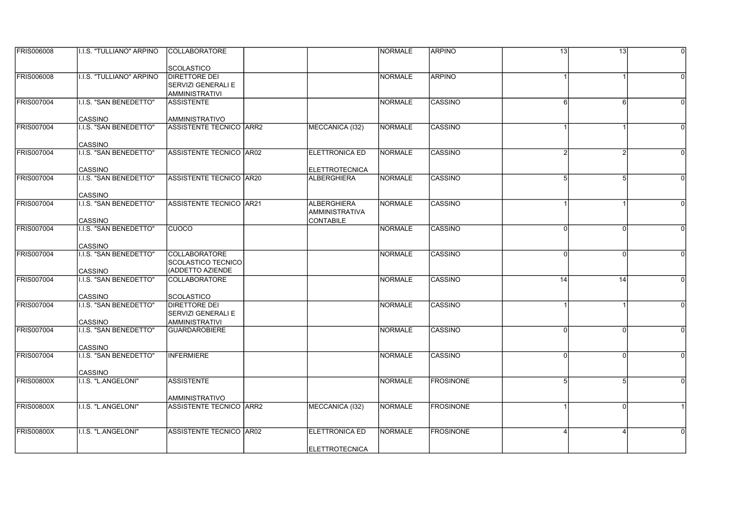| <b>FRIS006008</b> | I.I.S. "TULLIANO" ARPINO                 | <b>COLLABORATORE</b>                          |                       | INORMALE       | <b>ARPINO</b>    | 13           | 13       | $\Omega$ |
|-------------------|------------------------------------------|-----------------------------------------------|-----------------------|----------------|------------------|--------------|----------|----------|
|                   |                                          |                                               |                       |                |                  |              |          |          |
|                   |                                          | <b>SCOLASTICO</b>                             |                       |                |                  |              |          |          |
| <b>FRIS006008</b> | I.I.S. "TULLIANO" ARPINO                 | <b>DIRETTORE DEI</b>                          |                       | <b>NORMALE</b> | <b>ARPINO</b>    |              |          |          |
|                   |                                          | SERVIZI GENERALI E                            |                       |                |                  |              |          |          |
|                   |                                          | <b>AMMINISTRATIVI</b>                         |                       |                |                  |              |          |          |
| <b>FRIS007004</b> | I.I.S. "SAN BENEDETTO"                   | <b>ASSISTENTE</b>                             |                       | NORMALE        | CASSINO          | 6            | 6        |          |
|                   | <b>CASSINO</b>                           | AMMINISTRATIVO                                |                       |                |                  |              |          |          |
| <b>FRIS007004</b> | I.I.S. "SAN BENEDETTO"                   | ASSISTENTE TECNICO ARR2                       | MECCANICA (I32)       | NORMALE        | CASSINO          |              |          |          |
|                   |                                          |                                               |                       |                |                  |              |          |          |
|                   | CASSINO                                  |                                               |                       |                |                  |              |          |          |
| <b>FRIS007004</b> | I.I.S. "SAN BENEDETTO"                   | ASSISTENTE TECNICO AR02                       | <b>ELETTRONICA ED</b> | NORMALE        | CASSINO          |              |          |          |
|                   |                                          |                                               |                       |                |                  |              |          |          |
|                   | <b>CASSINO</b>                           |                                               | <b>ELETTROTECNICA</b> |                |                  |              |          |          |
| <b>FRIS007004</b> | I.I.S. "SAN BENEDETTO"                   | ASSISTENTE TECNICO AR20                       | <b>ALBERGHIERA</b>    | NORMALE        | CASSINO          | 5            | 5        | $\Omega$ |
|                   |                                          |                                               |                       |                |                  |              |          |          |
|                   | CASSINO                                  |                                               |                       |                |                  |              |          |          |
| <b>FRIS007004</b> | I.I.S. "SAN BENEDETTO"                   | ASSISTENTE TECNICO AR21                       | <b>ALBERGHIERA</b>    | NORMALE        | CASSINO          |              |          |          |
|                   |                                          |                                               | AMMINISTRATIVA        |                |                  |              |          |          |
| <b>FRIS007004</b> | CASSINO<br><b>I.I.S. "SAN BENEDETTO"</b> | <b>CUOCO</b>                                  | <b>CONTABILE</b>      | <b>NORMALE</b> | <b>CASSINO</b>   | U            | $\Omega$ |          |
|                   |                                          |                                               |                       |                |                  |              |          |          |
|                   | <b>CASSINO</b>                           |                                               |                       |                |                  |              |          |          |
| <b>FRIS007004</b> | <b>I.I.S. "SAN BENEDETTO"</b>            | <b>COLLABORATORE</b>                          |                       | NORMALE        | <b>CASSINO</b>   | $\Omega$     | $\Omega$ | $\Omega$ |
|                   |                                          | SCOLASTICO TECNICO                            |                       |                |                  |              |          |          |
|                   | CASSINO                                  | (ADDETTO AZIENDE                              |                       |                |                  |              |          |          |
| <b>FRIS007004</b> | I.I.S. "SAN BENEDETTO"                   | <b>COLLABORATORE</b>                          |                       | NORMALE        | <b>CASSINO</b>   | 14           | 14       |          |
|                   |                                          |                                               |                       |                |                  |              |          |          |
|                   | CASSINO                                  | <b>SCOLASTICO</b>                             |                       |                |                  |              |          |          |
| <b>FRIS007004</b> | <b>I.I.S. "SAN BENEDETTO"</b>            | <b>DIRETTORE DEI</b>                          |                       | <b>NORMALE</b> | CASSINO          |              |          |          |
|                   |                                          | <b>SERVIZI GENERALI E</b>                     |                       |                |                  |              |          |          |
| <b>FRIS007004</b> | <b>CASSINO</b><br>I.I.S. "SAN BENEDETTO" | <b>AMMINISTRATIVI</b><br><b>GUARDAROBIERE</b> |                       | NORMALE        | CASSINO          | <sup>0</sup> | $\Omega$ | $\Omega$ |
|                   |                                          |                                               |                       |                |                  |              |          |          |
|                   | CASSINO                                  |                                               |                       |                |                  |              |          |          |
| <b>FRIS007004</b> | I.I.S. "SAN BENEDETTO"                   | <b>INFERMIERE</b>                             |                       | NORMALE        | CASSINO          | $\Omega$     |          |          |
|                   |                                          |                                               |                       |                |                  |              |          |          |
|                   | CASSINO                                  |                                               |                       |                |                  |              |          |          |
| <b>FRIS00800X</b> | I.I.S. "L.ANGELONI"                      | <b>ASSISTENTE</b>                             |                       | NORMALE        | <b>FROSINONE</b> | 5            | 5        |          |
|                   |                                          |                                               |                       |                |                  |              |          |          |
|                   |                                          | AMMINISTRATIVO                                |                       |                |                  |              |          |          |
| FRIS00800X        | I.I.S. "L.ANGELONI"                      | IASSISTENTE TECNICO IARR2                     | MECCANICA (132)       | NORMALE        | <b>FROSINONE</b> |              | $\Omega$ |          |
|                   |                                          |                                               |                       |                |                  |              |          |          |
| <b>FRIS00800X</b> | I.I.S. "L.ANGELONI"                      | ASSISTENTE TECNICO AR02                       | <b>ELETTRONICA ED</b> | INORMALE       | <b>FROSINONE</b> |              |          |          |
|                   |                                          |                                               |                       |                |                  |              |          |          |
|                   |                                          |                                               | <b>ELETTROTECNICA</b> |                |                  |              |          |          |
|                   |                                          |                                               |                       |                |                  |              |          |          |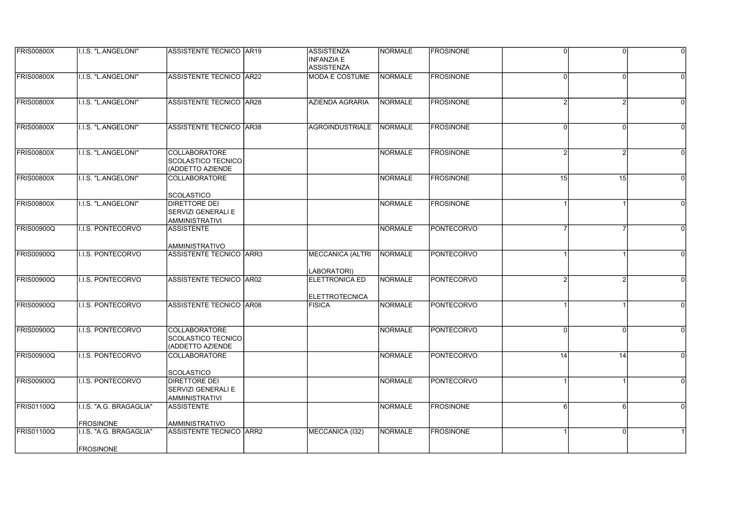| <b>FRIS00800X</b> | II.I.S. "L.ANGELONI"                        | <b>ASSISTENTE TECNICO AR19</b>                                        | <b>ASSISTENZA</b><br><b>INFANZIA E</b><br><b>ASSISTENZA</b> | <b>NORMALE</b> | <b>FROSINONE</b>  | $\Omega$ | $\Omega$     | $\Omega$ |
|-------------------|---------------------------------------------|-----------------------------------------------------------------------|-------------------------------------------------------------|----------------|-------------------|----------|--------------|----------|
| <b>FRIS00800X</b> | I.I.S. "L.ANGELONI"                         | <b>ASSISTENTE TECNICO AR22</b>                                        | MODA E COSTUME                                              | <b>NORMALE</b> | <b>FROSINONE</b>  | $\Omega$ | $\Omega$     |          |
| <b>FRIS00800X</b> | I.I.S. "L.ANGELONI"                         | <b>ASSISTENTE TECNICO AR28</b>                                        | <b>AZIENDA AGRARIA</b>                                      | <b>NORMALE</b> | <b>FROSINONE</b>  |          |              | $\Omega$ |
| <b>FRIS00800X</b> | I.I.S. "L.ANGELONI"                         | <b>ASSISTENTE TECNICO AR38</b>                                        | <b>AGROINDUSTRIALE</b>                                      | NORMALE        | <b>FROSINONE</b>  | $\Omega$ |              | $\Omega$ |
| <b>FRIS00800X</b> | I.I.S. "L.ANGELONI"                         | <b>COLLABORATORE</b><br>SCOLASTICO TECNICO<br>(ADDETTO AZIENDE        |                                                             | <b>NORMALE</b> | <b>FROSINONE</b>  |          |              |          |
| <b>FRIS00800X</b> | I.I.S. "L.ANGELONI"                         | <b>COLLABORATORE</b><br><b>SCOLASTICO</b>                             |                                                             | <b>NORMALE</b> | <b>FROSINONE</b>  | 15       | 15           | $\Omega$ |
| <b>FRIS00800X</b> | I.I.S. "L.ANGELONI"                         | <b>DIRETTORE DEI</b><br>SERVIZI GENERALI E<br><b>AMMINISTRATIVI</b>   |                                                             | <b>NORMALE</b> | <b>FROSINONE</b>  |          |              | $\Omega$ |
| <b>FRIS00900Q</b> | I.I.S. PONTECORVO                           | <b>ASSISTENTE</b><br><b>AMMINISTRATIVO</b>                            |                                                             | <b>NORMALE</b> | PONTECORVO        |          |              |          |
| <b>FRIS00900Q</b> | <b>I.I.S. PONTECORVO</b>                    | <b>ASSISTENTE TECNICO ARR3</b>                                        | <b>MECCANICA (ALTRI</b><br>LABORATORI)                      | <b>NORMALE</b> | <b>PONTECORVO</b> |          |              | $\Omega$ |
| <b>FRIS00900Q</b> | I.I.S. PONTECORVO                           | <b>ASSISTENTE TECNICO AR02</b>                                        | <b>ELETTRONICA ED</b><br><b>ELETTROTECNICA</b>              | <b>NORMALE</b> | <b>PONTECORVO</b> |          |              |          |
| <b>FRIS00900Q</b> | I.I.S. PONTECORVO                           | ASSISTENTE TECNICO AR08                                               | <b>FISICA</b>                                               | <b>NORMALE</b> | <b>PONTECORVO</b> |          |              |          |
| <b>FRIS00900Q</b> | I.I.S. PONTECORVO                           | <b>COLLABORATORE</b><br><b>SCOLASTICO TECNICO</b><br>(ADDETTO AZIENDE |                                                             | <b>NORMALE</b> | <b>PONTECORVO</b> | $\Omega$ | <sup>0</sup> | $\Omega$ |
| <b>FRIS00900Q</b> | <b>I.I.S. PONTECORVO</b>                    | <b>COLLABORATORE</b><br>SCOLASTICO                                    |                                                             | <b>NORMALE</b> | PONTECORVO        | 14       | 14           |          |
| <b>FRIS00900Q</b> | <b>I.I.S. PONTECORVO</b>                    | <b>DIRETTORE DEI</b><br>SERVIZI GENERALI E<br><b>AMMINISTRATIVI</b>   |                                                             | <b>NORMALE</b> | PONTECORVO        |          |              |          |
| <b>FRIS01100Q</b> | I.I.S. "A.G. BRAGAGLIA"<br><b>FROSINONE</b> | <b>ASSISTENTE</b><br>AMMINISTRATIVO                                   |                                                             | <b>NORMALE</b> | <b>FROSINONE</b>  | 6        | 6            | $\Omega$ |
| <b>FRIS01100Q</b> | I.I.S. "A.G. BRAGAGLIA"<br><b>FROSINONE</b> | <b>ASSISTENTE TECNICO ARR2</b>                                        | MECCANICA (I32)                                             | <b>NORMALE</b> | <b>FROSINONE</b>  |          |              |          |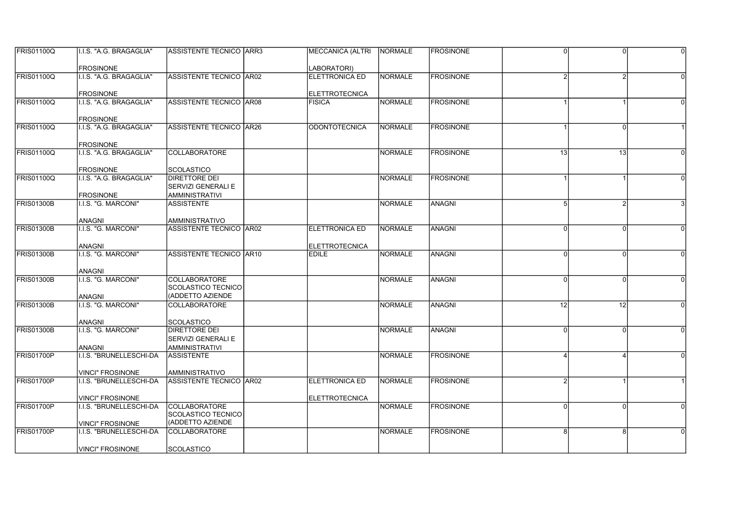| <b>FRIS01100Q</b> | I.I.S. "A.G. BRAGAGLIA"                 | <b>ASSISTENTE TECNICO   ARR3</b>           | MECCANICA (ALTRI   NORMALE |                 | <b>IFROSINONE</b> |                 | $\Omega$        |          |
|-------------------|-----------------------------------------|--------------------------------------------|----------------------------|-----------------|-------------------|-----------------|-----------------|----------|
|                   | <b>FROSINONE</b>                        |                                            | LABORATORI)                |                 |                   |                 |                 |          |
| <b>FRIS01100Q</b> | I.I.S. "A.G. BRAGAGLIA"                 | ASSISTENTE TECNICO AR02                    | <b>ELETTRONICA ED</b>      | NORMALE         | <b>FROSINONE</b>  |                 |                 |          |
|                   | <b>FROSINONE</b>                        |                                            | <b>ELETTROTECNICA</b>      |                 |                   |                 |                 |          |
| <b>FRIS01100Q</b> | .I.S. "A.G. BRAGAGLIA"                  | ASSISTENTE TECNICO AR08                    | <b>FISICA</b>              | NORMALE         | <b>FROSINONE</b>  |                 |                 |          |
|                   | <b>FROSINONE</b>                        |                                            |                            |                 |                   |                 |                 |          |
| <b>FRIS01100Q</b> | I.I.S. "A.G. BRAGAGLIA"                 | ASSISTENTE TECNICO AR26                    | <b>ODONTOTECNICA</b>       | INORMALE        | <b>FROSINONE</b>  |                 | $\Omega$        |          |
|                   | <b>FROSINONE</b>                        |                                            |                            |                 |                   |                 |                 |          |
| <b>FRIS01100Q</b> | I.I.S. "A.G. BRAGAGLIA"                 | <b>COLLABORATORE</b>                       |                            | NORMALE         | <b>FROSINONE</b>  | $\overline{13}$ | $\overline{13}$ |          |
|                   | <b>FROSINONE</b>                        | <b>SCOLASTICO</b>                          |                            |                 |                   |                 |                 |          |
| <b>FRIS01100Q</b> | I.I.S. "A.G. BRAGAGLIA"                 | DIRETTORE DEI                              |                            | NORMALE         | <b>FROSINONE</b>  |                 |                 |          |
|                   |                                         | SERVIZI GENERALI E                         |                            |                 |                   |                 |                 |          |
| <b>FRIS01300B</b> | <b>FROSINONE</b><br>I.I.S. "G. MARCONI" | <b>AMMINISTRATIVI</b><br><b>ASSISTENTE</b> |                            | INORMALE        | <b>ANAGNI</b>     | 5               |                 |          |
|                   |                                         |                                            |                            |                 |                   |                 |                 |          |
|                   | <b>ANAGNI</b>                           | AMMINISTRATIVO                             |                            |                 |                   |                 |                 |          |
| <b>FRIS01300B</b> | I.I.S. "G. MARCONI"                     | <b>ASSISTENTE TECNICO AR02</b>             | <b>ELETTRONICA ED</b>      | <b>NORMALE</b>  | <b>ANAGNI</b>     |                 | U               |          |
|                   | <b>ANAGNI</b>                           |                                            | <b>ELETTROTECNICA</b>      |                 |                   |                 |                 |          |
| <b>FRIS01300B</b> | I.I.S. "G. MARCONI"                     | ASSISTENTE TECNICO AR10                    | <b>EDILE</b>               | NORMALE         | <b>ANAGNI</b>     | 0               | $\Omega$        | $\Omega$ |
|                   | <b>ANAGNI</b>                           |                                            |                            |                 |                   |                 |                 |          |
| <b>FRIS01300B</b> | I.I.S. "G. MARCONI"                     | <b>COLLABORATORE</b><br>SCOLASTICO TECNICO |                            | <b>NORMALE</b>  | <b>ANAGNI</b>     |                 | $\Omega$        |          |
|                   | <b>ANAGNI</b>                           | (ADDETTO AZIENDE                           |                            |                 |                   |                 |                 |          |
| <b>FRIS01300B</b> | I.I.S. "G. MARCONI"                     | COLLABORATORE                              |                            | <b>NORMALE</b>  | ANAGNI            | 12              | 12              |          |
|                   | <b>ANAGNI</b>                           | <b>SCOLASTICO</b>                          |                            |                 |                   |                 |                 |          |
| <b>FRIS01300B</b> | I.I.S. "G. MARCONI"                     | DIRETTORE DEI                              |                            | NORMALE         | ANAGNI            | U               | $\Omega$        | $\Omega$ |
|                   |                                         | SERVIZI GENERALI E                         |                            |                 |                   |                 |                 |          |
|                   | <b>ANAGNI</b>                           | <b>AMMINISTRATIVI</b>                      |                            |                 |                   |                 |                 |          |
| FRIS01700P        | I.I.S. "BRUNELLESCHI-DA                 | <b>ASSISTENTE</b>                          |                            | NORMALE         | <b>FROSINONE</b>  |                 |                 |          |
|                   | VINCI" FROSINONE                        | AMMINISTRATIVO                             |                            |                 |                   |                 |                 |          |
| FRIS01700P        | I.I.S. "BRUNELLESCHI-DA                 | <b>ASSISTENTE TECNICO AR02</b>             | <b>ELETTRONICA ED</b>      | <b>INORMALE</b> | <b>FROSINONE</b>  |                 |                 |          |
|                   | <b>VINCI" FROSINONE</b>                 |                                            | <b>ELETTROTECNICA</b>      |                 |                   |                 |                 |          |
| FRIS01700P        | I.I.S. "BRUNELLESCHI-DA                 | COLLABORATORE<br>SCOLASTICO TECNICO        |                            | NORMALE         | <b>FROSINONE</b>  | U               | $\Omega$        | $\Omega$ |
|                   | VINCI" FROSINONE                        | (ADDETTO AZIENDE                           |                            |                 |                   |                 |                 |          |
| FRIS01700P        | I.I.S. "BRUNELLESCHI-DA                 | <b>COLLABORATORE</b>                       |                            | NORMALE         | <b>FROSINONE</b>  | R               |                 |          |
|                   | VINCI" FROSINONE                        | <b>SCOLASTICO</b>                          |                            |                 |                   |                 |                 |          |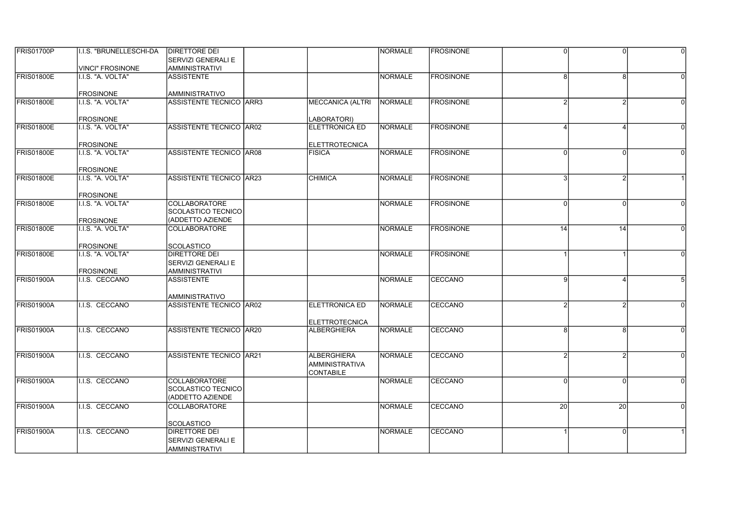| <b>FRIS01700P</b> | II.I.S. "BRUNELLESCHI-DA | <b>DIRETTORE DEI</b>                             |                         | <b>INORMALE</b> | <b>IFROSINONE</b> | U        | $\Omega$ | $\Omega$ |
|-------------------|--------------------------|--------------------------------------------------|-------------------------|-----------------|-------------------|----------|----------|----------|
|                   |                          | <b>SERVIZI GENERALI E</b>                        |                         |                 |                   |          |          |          |
|                   | VINCI" FROSINONE         | <b>AMMINISTRATIVI</b>                            |                         |                 |                   |          |          |          |
| <b>FRIS01800E</b> | I.I.S. "A. VOLTA"        | <b>ASSISTENTE</b>                                |                         | <b>NORMALE</b>  | <b>FROSINONE</b>  | 8        | R        |          |
|                   |                          |                                                  |                         |                 |                   |          |          |          |
|                   | <b>FROSINONE</b>         | <b>AMMINISTRATIVO</b>                            |                         |                 |                   |          |          |          |
| <b>FRIS01800E</b> | I.I.S. "A. VOLTA"        | <b>ASSISTENTE TECNICO ARR3</b>                   | <b>MECCANICA (ALTRI</b> | NORMALE         | <b>FROSINONE</b>  |          |          |          |
|                   |                          |                                                  |                         |                 |                   |          |          |          |
|                   | <b>FROSINONE</b>         |                                                  | LABORATORI)             |                 |                   |          |          |          |
| <b>FRIS01800E</b> | I.I.S. "A. VOLTA"        | ASSISTENTE TECNICO AR02                          | ELETTRONICA ED          | NORMALE         | <b>FROSINONE</b>  |          |          |          |
|                   |                          |                                                  |                         |                 |                   |          |          |          |
|                   | <b>FROSINONE</b>         |                                                  | <b>ELETTROTECNICA</b>   |                 |                   |          |          |          |
| <b>FRIS01800E</b> | I.I.S. "A. VOLTA"        | ASSISTENTE TECNICO AR08                          | <b>FISICA</b>           | NORMALE         | <b>FROSINONE</b>  | U        | $\Omega$ |          |
|                   |                          |                                                  |                         |                 |                   |          |          |          |
|                   | <b>FROSINONE</b>         |                                                  |                         |                 |                   |          |          |          |
| FRIS01800E        | I.I.S. "A. VOLTA"        | <b>ASSISTENTE TECNICO AR23</b>                   | <b>CHIMICA</b>          | NORMALE         | <b>FROSINONE</b>  | 3        |          |          |
|                   |                          |                                                  |                         |                 |                   |          |          |          |
|                   | <b>FROSINONE</b>         |                                                  |                         |                 |                   |          |          |          |
| <b>FRIS01800E</b> | I.I.S. "A. VOLTA"        | <b>COLLABORATORE</b>                             |                         | NORMALE         | <b>FROSINONE</b>  | U        |          |          |
|                   |                          | SCOLASTICO TECNICO                               |                         |                 |                   |          |          |          |
|                   | <b>FROSINONE</b>         | (ADDETTO AZIENDE                                 |                         |                 |                   |          |          |          |
| <b>FRIS01800E</b> | I.I.S. "A. VOLTA"        | <b>COLLABORATORE</b>                             |                         | <b>NORMALE</b>  | <b>FROSINONE</b>  | 14       | 14       |          |
|                   |                          |                                                  |                         |                 |                   |          |          |          |
|                   | <b>FROSINONE</b>         | <b>SCOLASTICO</b>                                |                         |                 |                   |          |          |          |
| <b>FRIS01800E</b> | I.I.S. "A. VOLTA"        | <b>DIRETTORE DEI</b>                             |                         | NORMALE         | <b>FROSINONE</b>  |          |          |          |
|                   |                          | <b>SERVIZI GENERALI E</b>                        |                         |                 |                   |          |          |          |
|                   | <b>FROSINONE</b>         | <b>AMMINISTRATIVI</b>                            |                         |                 |                   | g        |          |          |
| <b>FRIS01900A</b> | I.I.S. CECCANO           | <b>ASSISTENTE</b>                                |                         | NORMALE         | <b>CECCANO</b>    |          |          |          |
|                   |                          |                                                  |                         |                 |                   |          |          |          |
| <b>FRIS01900A</b> | I.I.S. CECCANO           | <b>AMMINISTRATIVO</b><br>ASSISTENTE TECNICO AR02 | <b>ELETTRONICA ED</b>   | NORMALE         | <b>CECCANO</b>    |          |          |          |
|                   |                          |                                                  |                         |                 |                   |          |          |          |
|                   |                          |                                                  | <b>ELETTROTECNICA</b>   |                 |                   |          |          |          |
| FRIS01900A        | I.I.S. CECCANO           | <b>ASSISTENTE TECNICO AR20</b>                   | <b>ALBERGHIERA</b>      | NORMALE         | <b>CECCANO</b>    | 8        | 8        |          |
|                   |                          |                                                  |                         |                 |                   |          |          |          |
|                   |                          |                                                  |                         |                 |                   |          |          |          |
| <b>FRIS01900A</b> | I.I.S. CECCANO           | <b>ASSISTENTE TECNICO AR21</b>                   | <b>ALBERGHIERA</b>      | NORMALE         | CECCANO           |          |          |          |
|                   |                          |                                                  | <b>AMMINISTRATIVA</b>   |                 |                   |          |          |          |
|                   |                          |                                                  | <b>CONTABILE</b>        |                 |                   |          |          |          |
| <b>FRIS01900A</b> | I.I.S. CECCANO           | <b>COLLABORATORE</b>                             |                         | <b>NORMALE</b>  | CECCANO           | $\Omega$ | $\Omega$ |          |
|                   |                          | <b>SCOLASTICO TECNICO</b>                        |                         |                 |                   |          |          |          |
|                   |                          | (ADDETTO AZIENDE                                 |                         |                 |                   |          |          |          |
| FRIS01900A        | I.I.S. CECCANO           | <b>COLLABORATORE</b>                             |                         | NORMALE         | CECCANO           | 20       | 20       | $\Omega$ |
|                   |                          |                                                  |                         |                 |                   |          |          |          |
|                   |                          | <b>SCOLASTICO</b>                                |                         |                 |                   |          |          |          |
| <b>FRIS01900A</b> | I.I.S. CECCANO           | <b>DIRETTORE DEI</b>                             |                         | NORMALE         | CECCANO           |          |          |          |
|                   |                          | <b>SERVIZI GENERALI E</b>                        |                         |                 |                   |          |          |          |
|                   |                          | <b>AMMINISTRATIVI</b>                            |                         |                 |                   |          |          |          |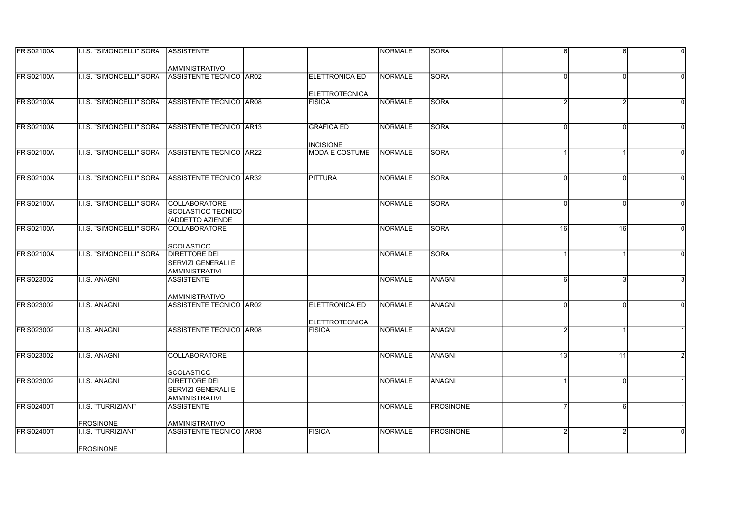| <b>FRIS02100A</b> | II.I.S. "SIMONCELLI" SORA ASSISTENTE |                                |                                        | INORMALE        | <b>SORA</b>       | 6            | 6        | $\Omega$       |
|-------------------|--------------------------------------|--------------------------------|----------------------------------------|-----------------|-------------------|--------------|----------|----------------|
|                   |                                      |                                |                                        |                 |                   |              |          |                |
|                   |                                      | AMMINISTRATIVO                 |                                        |                 |                   |              |          |                |
| <b>FRIS02100A</b> | I.I.S. "SIMONCELLI" SORA             | ASSISTENTE TECNICO AR02        | ELETTRONICA ED                         | <b>NORMALE</b>  | SORA              |              |          |                |
|                   |                                      |                                |                                        |                 |                   |              |          |                |
| <b>FRIS02100A</b> | <b>I.I.S. "SIMONCELLI" SORA</b>      |                                | <b>ELETTROTECNICA</b><br><b>FISICA</b> | NORMALE         |                   |              |          |                |
|                   |                                      | ASSISTENTE TECNICO AR08        |                                        |                 | <b>SORA</b>       |              |          |                |
|                   |                                      |                                |                                        |                 |                   |              |          |                |
| <b>FRIS02100A</b> | <b>I.I.S. "SIMONCELLI" SORA</b>      | ASSISTENTE TECNICO AR13        | <b>GRAFICA ED</b>                      | <b>INORMALE</b> | ISORA             | $\Omega$     | $\Omega$ | $\Omega$       |
|                   |                                      |                                |                                        |                 |                   |              |          |                |
|                   |                                      |                                | <b>INCISIONE</b>                       |                 |                   |              |          |                |
| <b>FRIS02100A</b> | <b>I.I.S. "SIMONCELLI" SORA</b>      | ASSISTENTE TECNICO AR22        | <b>MODA E COSTUME</b>                  | <b>NORMALE</b>  | SORA              |              |          |                |
|                   |                                      |                                |                                        |                 |                   |              |          |                |
|                   |                                      |                                |                                        |                 |                   |              |          |                |
| <b>FRIS02100A</b> | I.I.S. "SIMONCELLI" SORA             | ASSISTENTE TECNICO AR32        | <b>PITTURA</b>                         | NORMALE         | <b>SORA</b>       | $\Omega$     | $\Omega$ | $\Omega$       |
|                   |                                      |                                |                                        |                 |                   |              |          |                |
|                   |                                      |                                |                                        |                 |                   |              |          |                |
| <b>FRIS02100A</b> | <b>I.I.S. "SIMONCELLI" SORA</b>      | <b>COLLABORATORE</b>           |                                        | <b>INORMALE</b> | ISORA             | $\Omega$     | $\Omega$ | $\Omega$       |
|                   |                                      | <b>SCOLASTICO TECNICO</b>      |                                        |                 |                   |              |          |                |
|                   |                                      | (ADDETTO AZIENDE               |                                        |                 | <b>SORA</b>       |              |          |                |
| <b>FRIS02100A</b> | <b>I.I.S. "SIMONCELLI" SORA</b>      | <b>COLLABORATORE</b>           |                                        | <b>NORMALE</b>  |                   | 16           | 16       |                |
|                   |                                      | <b>SCOLASTICO</b>              |                                        |                 |                   |              |          |                |
| <b>FRIS02100A</b> | I.I.S. "SIMONCELLI" SORA             | <b>DIRETTORE DEI</b>           |                                        | NORMALE         | <b>SORA</b>       |              |          | $\overline{0}$ |
|                   |                                      | <b>SERVIZI GENERALI E</b>      |                                        |                 |                   |              |          |                |
|                   |                                      | <b>AMMINISTRATIVI</b>          |                                        |                 |                   |              |          |                |
| <b>FRIS023002</b> | <b>I.I.S. ANAGNI</b>                 | <b>ASSISTENTE</b>              |                                        | NORMALE         | <b>ANAGNI</b>     | 6            |          |                |
|                   |                                      |                                |                                        |                 |                   |              |          |                |
|                   |                                      | <b>AMMINISTRATIVO</b>          |                                        |                 |                   |              |          |                |
| <b>FRIS023002</b> | <b>I.I.S. ANAGNI</b>                 | <b>ASSISTENTE TECNICO AR02</b> | ELETTRONICA ED                         | <b>NORMALE</b>  | <b>ANAGNI</b>     | <sup>0</sup> | $\Omega$ |                |
|                   |                                      |                                |                                        |                 |                   |              |          |                |
|                   |                                      |                                | <b>ELETTROTECNICA</b>                  |                 |                   |              |          |                |
| <b>FRIS023002</b> | I.I.S. ANAGNI                        | ASSISTENTE TECNICO AR08        | <b>FISICA</b>                          | NORMALE         | ANAGNI            | 2            |          |                |
|                   |                                      |                                |                                        |                 |                   |              |          |                |
|                   |                                      |                                |                                        |                 |                   |              |          |                |
| <b>FRIS023002</b> | I.I.S. ANAGNI                        | <b>COLLABORATORE</b>           |                                        | <b>NORMALE</b>  | <b>ANAGNI</b>     | 13           | 11       |                |
|                   |                                      | <b>SCOLASTICO</b>              |                                        |                 |                   |              |          |                |
| <b>FRIS023002</b> | I.I.S. ANAGNI                        | <b>DIRETTORE DEI</b>           |                                        | <b>INORMALE</b> | ANAGNI            |              | $\Omega$ |                |
|                   |                                      | SERVIZI GENERALI E             |                                        |                 |                   |              |          |                |
|                   |                                      | <b>AMMINISTRATIVI</b>          |                                        |                 |                   |              |          |                |
| <b>FRIS02400T</b> | I.I.S. "TURRIZIANI"                  | <b>ASSISTENTE</b>              |                                        | NORMALE         | <b>FROSINONE</b>  |              | 6        |                |
|                   |                                      |                                |                                        |                 |                   |              |          |                |
|                   | <b>FROSINONE</b>                     | <b>AMMINISTRATIVO</b>          |                                        |                 |                   |              |          |                |
| <b>FRIS02400T</b> | <b>I.I.S. "TURRIZIANI"</b>           | ASSISTENTE TECNICO AR08        | <b>FISICA</b>                          | NORMALE         | <b>IFROSINONE</b> |              |          |                |
|                   |                                      |                                |                                        |                 |                   |              |          |                |
|                   | <b>FROSINONE</b>                     |                                |                                        |                 |                   |              |          |                |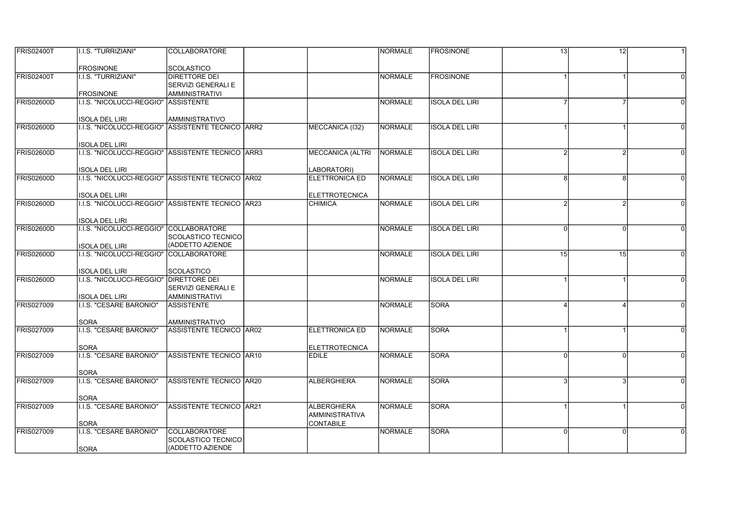| <b>FRIS02400T</b> | I.I.S. "TURRIZIANI"                                                        | <b>COLLABORATORE</b>      |                         | NORMALE         | <b>FROSINONE</b>      | 13       | 12       |          |
|-------------------|----------------------------------------------------------------------------|---------------------------|-------------------------|-----------------|-----------------------|----------|----------|----------|
|                   |                                                                            |                           |                         |                 |                       |          |          |          |
|                   | <b>FROSINONE</b>                                                           | <b>SCOLASTICO</b>         |                         |                 |                       |          |          |          |
| <b>FRIS02400T</b> | I.I.S. "TURRIZIANI"                                                        | <b>DIRETTORE DEI</b>      |                         | NORMALE         | <b>FROSINONE</b>      |          |          |          |
|                   |                                                                            | <b>SERVIZI GENERALI E</b> |                         |                 |                       |          |          |          |
|                   | <b>FROSINONE</b>                                                           | <b>AMMINISTRATIVI</b>     |                         |                 |                       |          |          |          |
| <b>FRIS02600D</b> | I.I.S. "NICOLUCCI-REGGIO"                                                  | <b>ASSISTENTE</b>         |                         | NORMALE         | <b>ISOLA DEL LIRI</b> |          |          |          |
|                   |                                                                            |                           |                         |                 |                       |          |          |          |
| <b>FRIS02600D</b> | <b>ISOLA DEL LIRI</b><br>I.I.S. "NICOLUCCI-REGGIO" ASSISTENTE TECNICO ARR2 | <b>AMMINISTRATIVO</b>     |                         | NORMALE         | <b>ISOLA DEL LIRI</b> |          |          |          |
|                   |                                                                            |                           | MECCANICA (I32)         |                 |                       |          |          |          |
|                   | <b>ISOLA DEL LIRI</b>                                                      |                           |                         |                 |                       |          |          |          |
| <b>FRIS02600D</b> | II.I.S. "NICOLUCCI-REGGIO" ASSISTENTE TECNICO ARR3                         |                           | <b>MECCANICA (ALTRI</b> | <b>INORMALE</b> | <b>ISOLA DEL LIRI</b> |          |          |          |
|                   |                                                                            |                           |                         |                 |                       |          |          |          |
|                   | <b>ISOLA DEL LIRI</b>                                                      |                           | LABORATORI)             |                 |                       |          |          |          |
| <b>FRIS02600D</b> | I.I.S. "NICOLUCCI-REGGIO" ASSISTENTE TECNICO AR02                          |                           | <b>ELETTRONICA ED</b>   | NORMALE         | <b>ISOLA DEL LIRI</b> | 8        | 8        |          |
|                   |                                                                            |                           |                         |                 |                       |          |          |          |
|                   | <b>ISOLA DEL LIRI</b>                                                      |                           | ELETTROTECNICA          |                 |                       |          |          |          |
| <b>FRIS02600D</b> | I.I.S. "NICOLUCCI-REGGIO" ASSISTENTE TECNICO AR23                          |                           | <b>CHIMICA</b>          | <b>NORMALE</b>  | <b>ISOLA DEL LIRI</b> |          |          |          |
|                   |                                                                            |                           |                         |                 |                       |          |          |          |
|                   | <b>ISOLA DEL LIRI</b>                                                      |                           |                         |                 |                       |          |          |          |
| <b>FRIS02600D</b> | I.I.S. "NICOLUCCI-REGGIO" COLLABORATORE                                    |                           |                         | NORMALE         | <b>ISOLA DEL LIRI</b> | $\Omega$ | $\Omega$ |          |
|                   |                                                                            | <b>SCOLASTICO TECNICO</b> |                         |                 |                       |          |          |          |
|                   | <b>ISOLA DEL LIRI</b>                                                      | (ADDETTO AZIENDE          |                         |                 |                       |          |          |          |
| <b>FRIS02600D</b> | I.I.S. "NICOLUCCI-REGGIO" COLLABORATORE                                    |                           |                         | NORMALE         | <b>ISOLA DEL LIRI</b> | 15       | 15       |          |
|                   | <b>ISOLA DEL LIRI</b>                                                      | <b>SCOLASTICO</b>         |                         |                 |                       |          |          |          |
| <b>FRIS02600D</b> | I.I.S. "NICOLUCCI-REGGIO"   DIRETTORE DEI                                  |                           |                         | NORMALE         | <b>ISOLA DEL LIRI</b> |          |          | $\Omega$ |
|                   |                                                                            | <b>SERVIZI GENERALI E</b> |                         |                 |                       |          |          |          |
|                   | <b>ISOLA DEL LIRI</b>                                                      | <b>AMMINISTRATIVI</b>     |                         |                 |                       |          |          |          |
| <b>FRIS027009</b> | I.I.S. "CESARE BARONIO"                                                    | <b>ASSISTENTE</b>         |                         | NORMALE         | SORA                  |          |          |          |
|                   |                                                                            |                           |                         |                 |                       |          |          |          |
|                   | <b>SORA</b>                                                                | <b>AMMINISTRATIVO</b>     |                         |                 |                       |          |          |          |
| <b>FRIS027009</b> | I.I.S. "CESARE BARONIO"                                                    | ASSISTENTE TECNICO AR02   | <b>ELETTRONICA ED</b>   | <b>NORMALE</b>  | <b>SORA</b>           |          |          |          |
|                   |                                                                            |                           |                         |                 |                       |          |          |          |
|                   | <b>SORA</b>                                                                |                           | <b>ELETTROTECNICA</b>   |                 |                       |          |          |          |
| <b>FRIS027009</b> | I.I.S. "CESARE BARONIO"                                                    | ASSISTENTE TECNICO AR10   | <b>EDILE</b>            | NORMALE         | <b>SORA</b>           | $\Omega$ | $\Omega$ | $\Omega$ |
|                   |                                                                            |                           |                         |                 |                       |          |          |          |
| <b>FRIS027009</b> | <b>SORA</b><br>I.I.S. "CESARE BARONIO"                                     | ASSISTENTE TECNICO   AR20 | <b>ALBERGHIERA</b>      | NORMALE         | <b>SORA</b>           |          |          | $\Omega$ |
|                   |                                                                            |                           |                         |                 |                       |          |          |          |
|                   | <b>SORA</b>                                                                |                           |                         |                 |                       |          |          |          |
| <b>FRIS027009</b> | I.I.S. "CESARE BARONIO"                                                    | ASSISTENTE TECNICO AR21   | <b>ALBERGHIERA</b>      | NORMALE         | SORA                  |          |          |          |
|                   |                                                                            |                           | <b>AMMINISTRATIVA</b>   |                 |                       |          |          |          |
|                   | <b>SORA</b>                                                                |                           | <b>CONTABILE</b>        |                 |                       |          |          |          |
| <b>FRIS027009</b> | I.I.S. "CESARE BARONIO"                                                    | <b>COLLABORATORE</b>      |                         | NORMALE         | <b>SORA</b>           | $\Omega$ | $\Omega$ |          |
|                   |                                                                            | <b>SCOLASTICO TECNICO</b> |                         |                 |                       |          |          |          |
|                   | <b>SORA</b>                                                                | (ADDETTO AZIENDE          |                         |                 |                       |          |          |          |
|                   |                                                                            |                           |                         |                 |                       |          |          |          |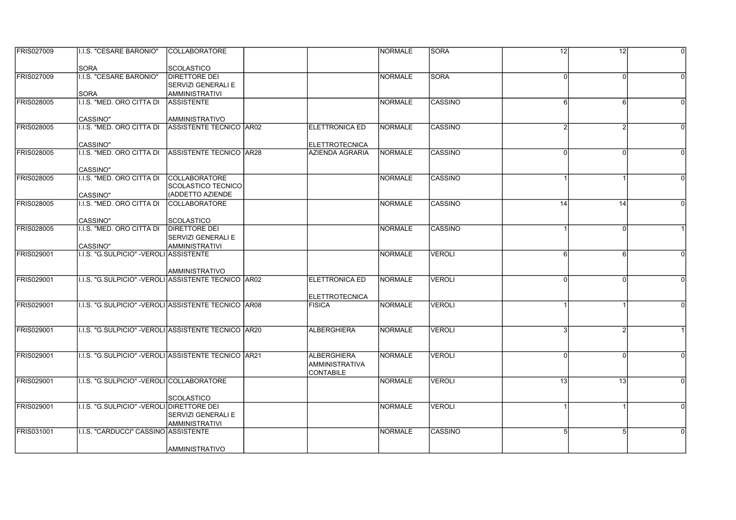| <b>FRIS027009</b> | <b>I.I.S. "CESARE BARONIO"</b>                       | <b>COLLABORATORE</b>      |                       | INORMALE       | <b>SORA</b>    | 12           | 12              | $\Omega$ |
|-------------------|------------------------------------------------------|---------------------------|-----------------------|----------------|----------------|--------------|-----------------|----------|
|                   | <b>SORA</b>                                          | <b>SCOLASTICO</b>         |                       |                |                |              |                 |          |
| <b>FRIS027009</b> | <b>I.I.S. "CESARE BARONIO"</b>                       | <b>DIRETTORE DEI</b>      |                       | INORMALE       | <b>SORA</b>    | <sup>0</sup> | $\Omega$        |          |
|                   |                                                      | SERVIZI GENERALI E        |                       |                |                |              |                 |          |
|                   | <b>SORA</b>                                          | <b>AMMINISTRATIVI</b>     |                       |                |                |              |                 |          |
| <b>FRIS028005</b> | I.I.S. "MED. ORO CITTA DI                            | <b>ASSISTENTE</b>         |                       | NORMALE        | CASSINO        | 6            | 6               |          |
|                   | CASSINO"                                             | AMMINISTRATIVO            |                       |                |                |              |                 |          |
| <b>FRIS028005</b> | I.I.S. "MED. ORO CITTA DI                            | ASSISTENTE TECNICO AR02   | <b>ELETTRONICA ED</b> | NORMALE        | CASSINO        |              |                 |          |
|                   | CASSINO"                                             |                           | <b>ELETTROTECNICA</b> |                |                |              |                 |          |
| <b>FRIS028005</b> | I.I.S. "MED. ORO CITTA DI                            | ASSISTENTE TECNICO AR28   | AZIENDA AGRARIA       | NORMALE        | CASSINO        | U            | $\Omega$        |          |
|                   | CASSINO"                                             |                           |                       |                |                |              |                 |          |
| <b>FRIS028005</b> | I.I.S. "MED. ORO CITTA DI                            | <b>COLLABORATORE</b>      |                       | INORMALE       | ICASSINO       |              |                 |          |
|                   |                                                      | SCOLASTICO TECNICO        |                       |                |                |              |                 |          |
|                   | CASSINO"                                             | (ADDETTO AZIENDE          |                       |                |                |              |                 |          |
| <b>FRIS028005</b> | I.I.S. "MED. ORO CITTA DI                            | <b>COLLABORATORE</b>      |                       | <b>NORMALE</b> | <b>CASSINO</b> | 14           | 14              |          |
|                   | <b>CASSINO"</b>                                      | <b>SCOLASTICO</b>         |                       |                |                |              |                 |          |
| <b>FRIS028005</b> | I.I.S. "MED. ORO CITTA DI                            | <b>DIRETTORE DEI</b>      |                       | <b>NORMALE</b> | <b>CASSINO</b> |              | $\Omega$        |          |
|                   |                                                      | <b>SERVIZI GENERALI E</b> |                       |                |                |              |                 |          |
|                   | CASSINO"                                             | AMMINISTRATIVI            |                       |                |                |              |                 |          |
| <b>FRIS029001</b> | I.I.S. "G.SULPICIO" - VEROLI ASSISTENTE              |                           |                       | NORMALE        | <b>VEROLI</b>  | $6 \mid$     | 6               | $\Omega$ |
|                   |                                                      |                           |                       |                |                |              |                 |          |
| <b>FRIS029001</b> | I.I.S. "G.SULPICIO" -VEROLI ASSISTENTE TECNICO AR02  | AMMINISTRATIVO            | <b>ELETTRONICA ED</b> | NORMALE        | <b>VEROLI</b>  |              |                 |          |
|                   |                                                      |                           |                       |                |                |              |                 |          |
|                   |                                                      |                           | <b>ELETTROTECNICA</b> |                |                |              |                 |          |
| <b>FRIS029001</b> | I.I.S. "G.SULPICIO" -VEROLI ASSISTENTE TECNICO LAR08 |                           | <b>FISICA</b>         | <b>NORMALE</b> | <b>VEROLI</b>  |              |                 |          |
|                   |                                                      |                           |                       |                |                |              |                 |          |
| <b>FRIS029001</b> | I.I.S. "G.SULPICIO" - VEROLI ASSISTENTE TECNICO AR20 |                           | <b>ALBERGHIERA</b>    | NORMALE        | <b>VEROLI</b>  | з            |                 |          |
|                   |                                                      |                           |                       |                |                |              |                 |          |
| <b>FRIS029001</b> | I.I.S. "G.SULPICIO" - VEROLI ASSISTENTE TECNICO AR21 |                           | <b>ALBERGHIERA</b>    | NORMALE        | VEROLI         | O            |                 |          |
|                   |                                                      |                           | <b>AMMINISTRATIVA</b> |                |                |              |                 |          |
|                   |                                                      |                           | <b>CONTABILE</b>      |                |                |              |                 |          |
| <b>FRIS029001</b> | I.I.S. "G.SULPICIO" -VEROLI COLLABORATORE            |                           |                       | <b>NORMALE</b> | <b>VEROLI</b>  | 13           | $\overline{13}$ | $\Omega$ |
|                   |                                                      |                           |                       |                |                |              |                 |          |
|                   |                                                      | SCOLASTICO                |                       |                |                |              |                 |          |
| FRIS029001        | I.I.S. "G.SULPICIO" - VEROLI DIRETTORE DEI           |                           |                       | NORMALE        | VEROLI         |              |                 | $\Omega$ |
|                   |                                                      | SERVIZI GENERALI E        |                       |                |                |              |                 |          |
|                   |                                                      | AMMINISTRATIVI            |                       |                |                |              |                 |          |
| <b>FRIS031001</b> | I.I.S. "CARDUCCI" CASSINO ASSISTENTE                 |                           |                       | NORMALE        | ICASSINO       | 5            | 5               |          |
|                   |                                                      | IAMMINISTRATIVO           |                       |                |                |              |                 |          |
|                   |                                                      |                           |                       |                |                |              |                 |          |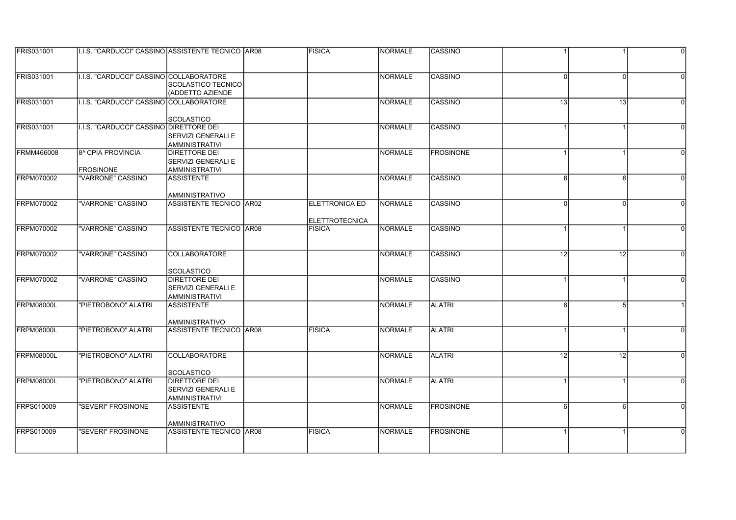| <b>FRIS031001</b> | I.I.S. "CARDUCCI" CASSINO ASSISTENTE TECNICO AR08 |                                                  | <b>FISICA</b>         | INORMALE       | ICASSINO         |          |          | $\Omega$ |
|-------------------|---------------------------------------------------|--------------------------------------------------|-----------------------|----------------|------------------|----------|----------|----------|
|                   |                                                   |                                                  |                       |                |                  |          |          |          |
| <b>FRIS031001</b> | I.I.S. "CARDUCCI" CASSINO COLLABORATORE           |                                                  |                       | <b>NORMALE</b> | CASSINO          | U        | $\Omega$ |          |
|                   |                                                   | SCOLASTICO TECNICO                               |                       |                |                  |          |          |          |
|                   |                                                   | (ADDETTO AZIENDE                                 |                       |                |                  |          |          |          |
| <b>FRIS031001</b> | I.I.S. "CARDUCCI" CASSINO COLLABORATORE           |                                                  |                       | NORMALE        | CASSINO          | 13       | 13       | $\Omega$ |
|                   |                                                   |                                                  |                       |                |                  |          |          |          |
|                   |                                                   | SCOLASTICO                                       |                       |                |                  |          |          |          |
| <b>FRIS031001</b> | I.I.S. "CARDUCCI" CASSINO DIRETTORE DEI           |                                                  |                       | NORMALE        | <b>CASSINO</b>   |          |          |          |
|                   |                                                   | <b>SERVIZI GENERALI E</b>                        |                       |                |                  |          |          |          |
|                   |                                                   | <b>AMMINISTRATIVI</b>                            |                       |                |                  |          |          |          |
| <b>FRMM466008</b> | 8 <sup>^</sup> CPIA PROVINCIA                     | <b>DIRETTORE DEI</b>                             |                       | <b>NORMALE</b> | <b>FROSINONE</b> |          |          |          |
|                   |                                                   | <b>ISERVIZI GENERALI E</b>                       |                       |                |                  |          |          |          |
|                   | <b>FROSINONE</b>                                  | AMMINISTRATIVI                                   |                       |                |                  |          |          |          |
| <b>FRPM070002</b> | "VARRONE" CASSINO                                 | <b>ASSISTENTE</b>                                |                       | NORMALE        | ICASSINO         | 6        | 6        | $\Omega$ |
|                   |                                                   |                                                  |                       |                |                  |          |          |          |
| <b>FRPM070002</b> | "VARRONE" CASSINO                                 | <b>AMMINISTRATIVO</b><br>ASSISTENTE TECNICO AR02 | <b>ELETTRONICA ED</b> | NORMALE        | CASSINO          | $\Omega$ |          |          |
|                   |                                                   |                                                  |                       |                |                  |          |          |          |
|                   |                                                   |                                                  | <b>ELETTROTECNICA</b> |                |                  |          |          |          |
| FRPM070002        | "VARRONE" CASSINO                                 | <b>ASSISTENTE TECNICO AR08</b>                   | <b>FISICA</b>         | NORMALE        | CASSINO          |          |          |          |
|                   |                                                   |                                                  |                       |                |                  |          |          |          |
|                   |                                                   |                                                  |                       |                |                  |          |          |          |
| <b>FRPM070002</b> | "VARRONE" CASSINO                                 | <b>COLLABORATORE</b>                             |                       | NORMALE        | ICASSINO         | 12       | 12       | $\Omega$ |
|                   |                                                   |                                                  |                       |                |                  |          |          |          |
|                   |                                                   | <b>SCOLASTICO</b>                                |                       |                |                  |          |          |          |
| <b>FRPM070002</b> | "VARRONE" CASSINO                                 | <b>DIRETTORE DEI</b>                             |                       | <b>NORMALE</b> | <b>CASSINO</b>   |          |          |          |
|                   |                                                   | <b>SERVIZI GENERALI E</b>                        |                       |                |                  |          |          |          |
|                   |                                                   | <b>AMMINISTRATIVI</b>                            |                       |                |                  |          |          |          |
| FRPM08000L        | "PIETROBONO" ALATRI                               | <b>ASSISTENTE</b>                                |                       | NORMALE        | <b>ALATRI</b>    | 6        | 5        |          |
|                   |                                                   |                                                  |                       |                |                  |          |          |          |
| FRPM08000L        |                                                   | AMMINISTRATIVO<br><b>ASSISTENTE TECNICO AR08</b> |                       |                |                  |          |          | $\Omega$ |
|                   | "PIETROBONO" ALATRI                               |                                                  | <b>FISICA</b>         | NORMALE        | <b>ALATRI</b>    |          |          |          |
|                   |                                                   |                                                  |                       |                |                  |          |          |          |
| FRPM08000L        | "PIETROBONO" ALATRI                               | <b>COLLABORATORE</b>                             |                       | NORMALE        | <b>ALATRI</b>    | 12       | 12       |          |
|                   |                                                   |                                                  |                       |                |                  |          |          |          |
|                   |                                                   | <b>SCOLASTICO</b>                                |                       |                |                  |          |          |          |
| FRPM08000L        | "PIETROBONO" ALATRI                               | <b>DIRETTORE DEI</b>                             |                       | <b>NORMALE</b> | <b>ALATRI</b>    |          |          | $\Omega$ |
|                   |                                                   | SERVIZI GENERALI E                               |                       |                |                  |          |          |          |
|                   |                                                   | <b>AMMINISTRATIVI</b>                            |                       |                |                  |          |          |          |
| FRPS010009        | "SEVERI" FROSINONE                                | <b>ASSISTENTE</b>                                |                       | NORMALE        | <b>FROSINONE</b> | $6 \mid$ | 6        | $\Omega$ |
|                   |                                                   |                                                  |                       |                |                  |          |          |          |
|                   |                                                   | AMMINISTRATIVO                                   |                       |                |                  |          |          |          |
| <b>FRPS010009</b> | "SEVERI" FROSINONE                                | ASSISTENTE TECNICO AR08                          | <b>FISICA</b>         | NORMALE        | <b>FROSINONE</b> |          |          |          |
|                   |                                                   |                                                  |                       |                |                  |          |          |          |
|                   |                                                   |                                                  |                       |                |                  |          |          |          |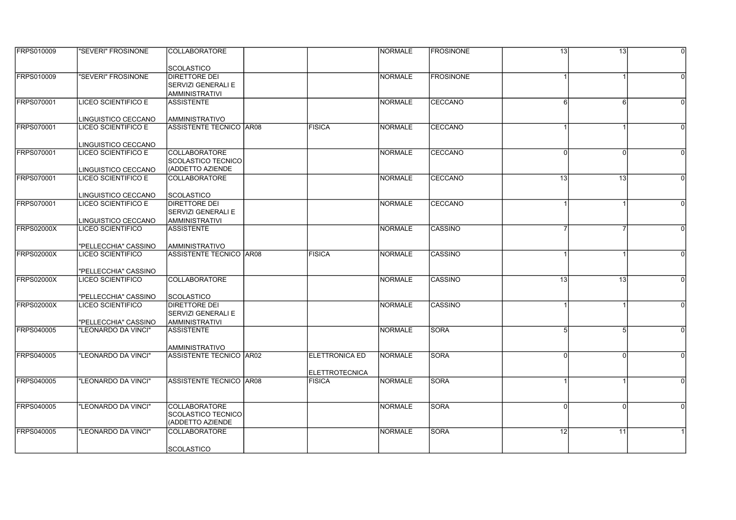| <b>FRPS010009</b> | "SEVERI" FROSINONE                       | ICOLLABORATORE                             |                       | INORMALE       | <b>IFROSINONE</b> | 13              | 13              | $\Omega$ |
|-------------------|------------------------------------------|--------------------------------------------|-----------------------|----------------|-------------------|-----------------|-----------------|----------|
|                   |                                          |                                            |                       |                |                   |                 |                 |          |
|                   |                                          | <b>SCOLASTICO</b>                          |                       |                |                   |                 |                 |          |
| FRPS010009        | "SEVERI" FROSINONE                       | <b>DIRETTORE DEI</b>                       |                       | <b>NORMALE</b> | <b>FROSINONE</b>  |                 |                 |          |
|                   |                                          | <b>SERVIZI GENERALI E</b>                  |                       |                |                   |                 |                 |          |
|                   | <b>LICEO SCIENTIFICO E</b>               | <b>AMMINISTRATIVI</b>                      |                       |                |                   |                 |                 |          |
| <b>FRPS070001</b> |                                          | <b>ASSISTENTE</b>                          |                       | NORMALE        | CECCANO           | 6               | 6               | $\Omega$ |
|                   | LINGUISTICO CECCANO                      | AMMINISTRATIVO                             |                       |                |                   |                 |                 |          |
| <b>FRPS070001</b> | <b>LICEO SCIENTIFICO E</b>               | <b>ASSISTENTE TECNICO AR08</b>             | <b>FISICA</b>         | NORMALE        | CECCANO           |                 |                 |          |
|                   |                                          |                                            |                       |                |                   |                 |                 |          |
|                   | LINGUISTICO CECCANO                      |                                            |                       |                |                   |                 |                 |          |
| <b>FRPS070001</b> | LICEO SCIENTIFICO E                      | <b>COLLABORATORE</b>                       |                       | INORMALE       | <b>ICECCANO</b>   | U               | $\Omega$        |          |
|                   |                                          | ISCOLASTICO TECNICO                        |                       |                |                   |                 |                 |          |
|                   | LINGUISTICO CECCANO                      | (ADDETTO AZIENDE                           |                       |                |                   |                 |                 |          |
| <b>FRPS070001</b> | LICEO SCIENTIFICO E                      | <b>COLLABORATORE</b>                       |                       | NORMALE        | CECCANO           | 13              | 13              | $\Omega$ |
|                   |                                          |                                            |                       |                |                   |                 |                 |          |
|                   | LINGUISTICO CECCANO                      | <b>SCOLASTICO</b>                          |                       |                |                   |                 |                 |          |
| <b>FRPS070001</b> | <b>LICEO SCIENTIFICO E</b>               | <b>DIRETTORE DEI</b>                       |                       | NORMALE        | CECCANO           |                 |                 |          |
|                   |                                          | <b>SERVIZI GENERALI E</b>                  |                       |                |                   |                 |                 |          |
| <b>FRPS02000X</b> | LINGUISTICO CECCANO<br>LICEO SCIENTIFICO | <b>AMMINISTRATIVI</b><br><b>ASSISTENTE</b> |                       | NORMALE        | CASSINO           |                 |                 |          |
|                   |                                          |                                            |                       |                |                   |                 |                 |          |
|                   | "PELLECCHIA" CASSINO                     | AMMINISTRATIVO                             |                       |                |                   |                 |                 |          |
| <b>FRPS02000X</b> | LICEO SCIENTIFICO                        | ASSISTENTE TECNICO IAR08                   | <b>FISICA</b>         | NORMALE        | ICASSINO          |                 |                 | $\Omega$ |
|                   |                                          |                                            |                       |                |                   |                 |                 |          |
|                   | "PELLECCHIA" CASSINO                     |                                            |                       |                |                   |                 |                 |          |
| <b>FRPS02000X</b> | <b>LICEO SCIENTIFICO</b>                 | <b>COLLABORATORE</b>                       |                       | <b>NORMALE</b> | <b>CASSINO</b>    | $\overline{13}$ | $\overline{13}$ |          |
|                   |                                          |                                            |                       |                |                   |                 |                 |          |
|                   | "PELLECCHIA" CASSINO                     | <b>SCOLASTICO</b>                          |                       |                |                   |                 |                 |          |
| <b>FRPS02000X</b> | <b>LICEO SCIENTIFICO</b>                 | <b>DIRETTORE DEI</b>                       |                       | <b>NORMALE</b> | <b>CASSINO</b>    |                 |                 |          |
|                   |                                          | <b>SERVIZI GENERALI E</b>                  |                       |                |                   |                 |                 |          |
|                   | "PELLECCHIA" CASSINO                     | AMMINISTRATIVI                             |                       |                |                   |                 |                 |          |
| <b>FRPS040005</b> | "LEONARDO DA VINCI"                      | <b>ASSISTENTE</b>                          |                       | NORMALE        | <b>SORA</b>       | 5               | 5               | $\Omega$ |
|                   |                                          | IAMMINISTRATIVO                            |                       |                |                   |                 |                 |          |
| <b>FRPS040005</b> | "LEONARDO DA VINCI"                      | ASSISTENTE TECNICO AR02                    | <b>ELETTRONICA ED</b> | INORMALE       | SORA              |                 |                 |          |
|                   |                                          |                                            |                       |                |                   |                 |                 |          |
|                   |                                          |                                            | <b>ELETTROTECNICA</b> |                |                   |                 |                 |          |
| <b>FRPS040005</b> | "LEONARDO DA VINCI"                      | ASSISTENTE TECNICO AR08                    | <b>FISICA</b>         | <b>NORMALE</b> | <b>SORA</b>       |                 |                 | $\Omega$ |
|                   |                                          |                                            |                       |                |                   |                 |                 |          |
|                   |                                          |                                            |                       |                |                   |                 |                 |          |
| <b>FRPS040005</b> | "LEONARDO DA VINCI"                      | COLLABORATORE                              |                       | NORMALE        | <b>SORA</b>       | $\Omega$        | $\Omega$        | $\Omega$ |
|                   |                                          | SCOLASTICO TECNICO                         |                       |                |                   |                 |                 |          |
|                   |                                          | (ADDETTO AZIENDE                           |                       |                |                   |                 |                 |          |
| <b>FRPS040005</b> | "LEONARDO DA VINCI"                      | <b>COLLABORATORE</b>                       |                       | NORMALE        | <b>SORA</b>       | 12              | 11              |          |
|                   |                                          |                                            |                       |                |                   |                 |                 |          |
|                   |                                          | <b>SCOLASTICO</b>                          |                       |                |                   |                 |                 |          |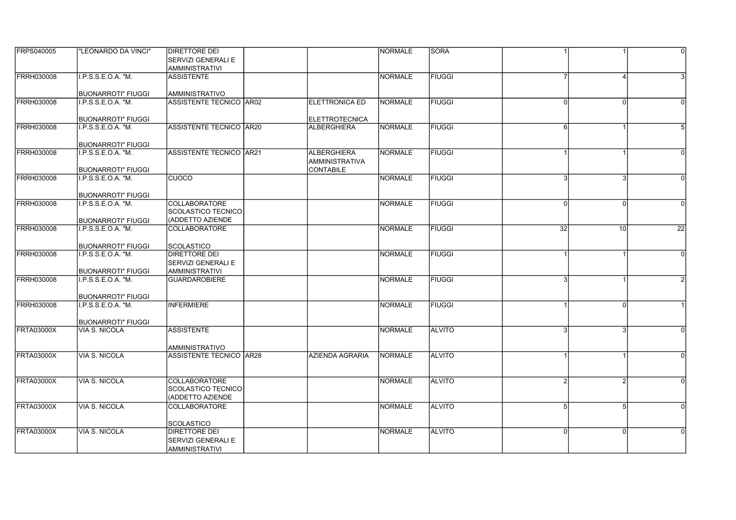| <b>FRPS040005</b> | "LEONARDO DA VINCI"                               | <b>DIRETTORE DEI</b>                      |                                             | <b>INORMALE</b> | <b>SORA</b>   |              |          | $\Omega$        |
|-------------------|---------------------------------------------------|-------------------------------------------|---------------------------------------------|-----------------|---------------|--------------|----------|-----------------|
|                   |                                                   | <b>SERVIZI GENERALI E</b>                 |                                             |                 |               |              |          |                 |
|                   |                                                   | <b>AMMINISTRATIVI</b>                     |                                             |                 |               |              |          |                 |
| <b>FRRH030008</b> | I.P.S.S.E.O.A. "M.                                | <b>ASSISTENTE</b>                         |                                             | <b>NORMALE</b>  | <b>FIUGGI</b> |              |          |                 |
|                   |                                                   |                                           |                                             |                 |               |              |          |                 |
|                   | <b>BUONARROTI" FIUGGI</b>                         | <b>AMMINISTRATIVO</b>                     |                                             |                 |               |              |          |                 |
| <b>FRRH030008</b> | I.P.S.S.E.O.A. "M.                                | ASSISTENTE TECNICO AR02                   | <b>ELETTRONICA ED</b>                       | NORMALE         | <b>FIUGGI</b> | $\Omega$     | $\Omega$ |                 |
|                   |                                                   |                                           |                                             |                 |               |              |          |                 |
| <b>FRRH030008</b> | <b>BUONARROTI" FIUGGI</b><br>I.P.S.S.E.O.A. "M.   | ASSISTENTE TECNICO AR20                   | <b>ELETTROTECNICA</b><br><b>ALBERGHIERA</b> | NORMALE         | <b>FIUGGI</b> | $6 \mid$     |          |                 |
|                   |                                                   |                                           |                                             |                 |               |              |          |                 |
|                   | <b>BUONARROTI" FIUGGI</b>                         |                                           |                                             |                 |               |              |          |                 |
| <b>FRRH030008</b> | I.P.S.S.E.O.A. "M.                                | <b>ASSISTENTE TECNICO AR21</b>            | <b>ALBERGHIERA</b>                          | <b>NORMALE</b>  | <b>FIUGGI</b> |              |          |                 |
|                   |                                                   |                                           | <b>AMMINISTRATIVA</b>                       |                 |               |              |          |                 |
|                   | <b>BUONARROTI" FIUGGI</b>                         |                                           | <b>CONTABILE</b>                            |                 |               |              |          |                 |
| <b>FRRH030008</b> | I.P.S.S.E.O.A. "M.                                | <b>CUOCO</b>                              |                                             | NORMALE         | <b>FIUGGI</b> | 3            | 3        | $\Omega$        |
|                   |                                                   |                                           |                                             |                 |               |              |          |                 |
|                   | <b>BUONARROTI" FIUGGI</b>                         |                                           |                                             |                 |               |              |          |                 |
| <b>FRRH030008</b> | I.P.S.S.E.O.A. "M.                                | <b>COLLABORATORE</b>                      |                                             | NORMALE         | <b>FIUGGI</b> | <sup>0</sup> |          | $\Omega$        |
|                   |                                                   | <b>SCOLASTICO TECNICO</b>                 |                                             |                 |               |              |          |                 |
| <b>FRRH030008</b> | <b>BUONARROTI" FIUGGI</b><br>I.P.S.S.E.O.A. "M.   | (ADDETTO AZIENDE<br><b>COLLABORATORE</b>  |                                             | <b>NORMALE</b>  | <b>FIUGGI</b> | 32           | 10       | $\overline{22}$ |
|                   |                                                   |                                           |                                             |                 |               |              |          |                 |
|                   | <b>BUONARROTI" FIUGGI</b>                         | <b>SCOLASTICO</b>                         |                                             |                 |               |              |          |                 |
| <b>FRRH030008</b> | I.P.S.S.E.O.A. "M.                                | <b>DIRETTORE DEI</b>                      |                                             | NORMALE         | <b>FIUGGI</b> |              |          | $\Omega$        |
|                   |                                                   | <b>SERVIZI GENERALI E</b>                 |                                             |                 |               |              |          |                 |
|                   | <b>BUONARROTI" FIUGGI</b>                         | <b>AMMINISTRATIVI</b>                     |                                             |                 |               |              |          |                 |
| <b>FRRH030008</b> | I.P.S.S.E.O.A. "M.                                | <b>GUARDAROBIERE</b>                      |                                             | NORMALE         | <b>FIUGGI</b> |              |          |                 |
|                   |                                                   |                                           |                                             |                 |               |              |          |                 |
|                   | <b>BUONARROTI" FIUGGI</b>                         |                                           |                                             |                 |               |              |          |                 |
| <b>FRRH030008</b> | I.P.S.S.E.O.A. "M.                                | <b>INFERMIERE</b>                         |                                             | NORMALE         | <b>FIUGGI</b> |              | $\Omega$ |                 |
|                   |                                                   |                                           |                                             |                 |               |              |          |                 |
| <b>FRTA03000X</b> | <b>BUONARROTI" FIUGGI</b><br><b>VIA S. NICOLA</b> | <b>ASSISTENTE</b>                         |                                             | NORMALE         | <b>ALVITO</b> |              |          |                 |
|                   |                                                   |                                           |                                             |                 |               |              |          |                 |
|                   |                                                   | <b>AMMINISTRATIVO</b>                     |                                             |                 |               |              |          |                 |
| <b>FRTA03000X</b> | VIA S. NICOLA                                     | ASSISTENTE TECNICO AR28                   | AZIENDA AGRARIA                             | NORMALE         | <b>ALVITO</b> |              |          |                 |
|                   |                                                   |                                           |                                             |                 |               |              |          |                 |
|                   |                                                   |                                           |                                             |                 |               |              |          |                 |
| <b>FRTA03000X</b> | VIA S. NICOLA                                     | <b>COLLABORATORE</b>                      |                                             | <b>INORMALE</b> | <b>ALVITO</b> | 2            |          |                 |
|                   |                                                   | <b>SCOLASTICO TECNICO</b>                 |                                             |                 |               |              |          |                 |
|                   |                                                   | (ADDETTO AZIENDE                          |                                             |                 |               |              |          |                 |
| <b>FRTA03000X</b> | <b>VIA S. NICOLA</b>                              | <b>COLLABORATORE</b>                      |                                             | <b>NORMALE</b>  | <b>ALVITO</b> | 5            | 5        |                 |
|                   |                                                   |                                           |                                             |                 |               |              |          |                 |
| <b>FRTA03000X</b> | VIA S. NICOLA                                     | <b>SCOLASTICO</b><br><b>DIRETTORE DEI</b> |                                             | NORMALE         | <b>ALVITO</b> | U            |          |                 |
|                   |                                                   | <b>SERVIZI GENERALI E</b>                 |                                             |                 |               |              |          |                 |
|                   |                                                   | <b>AMMINISTRATIVI</b>                     |                                             |                 |               |              |          |                 |
|                   |                                                   |                                           |                                             |                 |               |              |          |                 |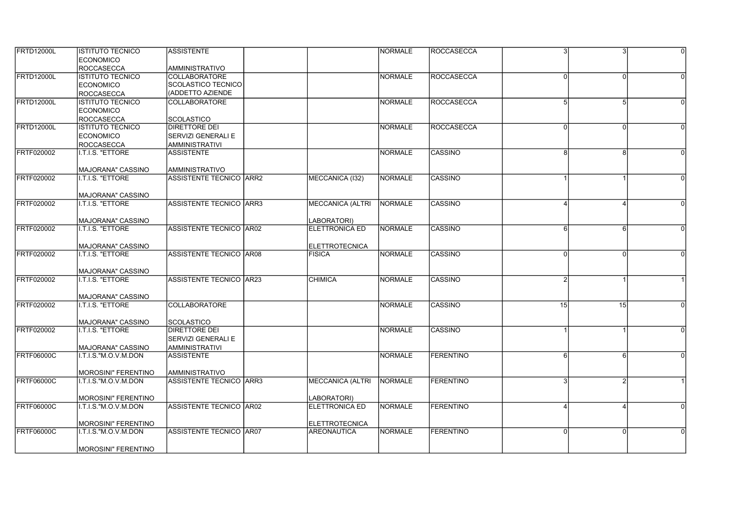| <b>FRTD12000L</b> | <b>IISTITUTO TECNICO</b>                     | <b>ASSISTENTE</b>                          |                         | <b>INORMALE</b> | <b>IROCCASECCA</b> | 3        |          | $\Omega$ |
|-------------------|----------------------------------------------|--------------------------------------------|-------------------------|-----------------|--------------------|----------|----------|----------|
|                   | <b>ECONOMICO</b>                             |                                            |                         |                 |                    |          |          |          |
|                   | <b>ROCCASECCA</b>                            | <b>AMMINISTRATIVO</b>                      |                         |                 |                    |          |          |          |
| <b>FRTD12000L</b> | <b>ISTITUTO TECNICO</b>                      | <b>COLLABORATORE</b><br>SCOLASTICO TECNICO |                         | NORMALE         | ROCCASECCA         | U        | $\Omega$ |          |
|                   | <b>ECONOMICO</b>                             | (ADDETTO AZIENDE                           |                         |                 |                    |          |          |          |
| <b>FRTD12000L</b> | <b>ROCCASECCA</b><br><b>ISTITUTO TECNICO</b> | <b>COLLABORATORE</b>                       |                         | NORMALE         | <b>ROCCASECCA</b>  | 5        |          |          |
|                   |                                              |                                            |                         |                 |                    |          | 5        |          |
|                   | <b>ECONOMICO</b>                             |                                            |                         |                 |                    |          |          |          |
| <b>FRTD12000L</b> | <b>ROCCASECCA</b><br><b>ISTITUTO TECNICO</b> | <b>SCOLASTICO</b><br><b>DIRETTORE DEI</b>  |                         | NORMALE         | ROCCASECCA         | U        |          |          |
|                   |                                              |                                            |                         |                 |                    |          |          |          |
|                   | <b>ECONOMICO</b>                             | <b>SERVIZI GENERALI E</b>                  |                         |                 |                    |          |          |          |
| FRTF020002        | <b>ROCCASECCA</b><br>I.T.I.S. "ETTORE        | <b>AMMINISTRATIVI</b><br><b>ASSISTENTE</b> |                         | NORMALE         | <b>CASSINO</b>     | 8        | 8        |          |
|                   |                                              |                                            |                         |                 |                    |          |          |          |
|                   | MAJORANA" CASSINO                            | <b>AMMINISTRATIVO</b>                      |                         |                 |                    |          |          |          |
| FRTF020002        | I.T.I.S. "ETTORE                             | <b>ASSISTENTE TECNICO IARR2</b>            | MECCANICA (I32)         | NORMALE         | <b>CASSINO</b>     |          |          |          |
|                   |                                              |                                            |                         |                 |                    |          |          |          |
|                   | <b>MAJORANA" CASSINO</b>                     |                                            |                         |                 |                    |          |          |          |
| <b>FRTF020002</b> | I.T.I.S. "ETTORE                             | ASSISTENTE TECNICO ARR3                    | <b>MECCANICA (ALTRI</b> | NORMALE         | CASSINO            |          |          |          |
|                   |                                              |                                            |                         |                 |                    |          |          |          |
|                   | MAJORANA" CASSINO                            |                                            | LABORATORI)             |                 |                    |          |          |          |
| FRTF020002        | I.T.I.S. "ETTORE                             | <b>ASSISTENTE TECNICO AR02</b>             | <b>ELETTRONICA ED</b>   | <b>NORMALE</b>  | <b>CASSINO</b>     | 6        | 6        |          |
|                   |                                              |                                            |                         |                 |                    |          |          |          |
|                   | MAJORANA" CASSINO                            |                                            | <b>ELETTROTECNICA</b>   |                 |                    |          |          |          |
| FRTF020002        | I.T.I.S. "ETTORE                             | ASSISTENTE TECNICO AR08                    | <b>FISICA</b>           | NORMALE         | CASSINO            | $\Omega$ | $\Omega$ |          |
|                   | MAJORANA" CASSINO                            |                                            |                         |                 |                    |          |          |          |
| <b>FRTF020002</b> | I.T.I.S. "ETTORE                             | <b>ASSISTENTE TECNICO AR23</b>             | <b>CHIMICA</b>          | NORMALE         | <b>CASSINO</b>     |          |          |          |
|                   |                                              |                                            |                         |                 |                    |          |          |          |
|                   | MAJORANA" CASSINO                            |                                            |                         |                 |                    |          |          |          |
| FRTF020002        | I.T.I.S. "ETTORE                             | COLLABORATORE                              |                         | <b>NORMALE</b>  | <b>CASSINO</b>     | 15       | 15       |          |
|                   |                                              |                                            |                         |                 |                    |          |          |          |
|                   | MAJORANA" CASSINO                            | <b>SCOLASTICO</b>                          |                         |                 |                    |          |          |          |
| <b>FRTF020002</b> | I.T.I.S. "ETTORE                             | DIRETTORE DEI                              |                         | NORMALE         | <b>CASSINO</b>     |          |          |          |
|                   |                                              | <b>SERVIZI GENERALI E</b>                  |                         |                 |                    |          |          |          |
|                   | <b>MAJORANA" CASSINO</b>                     | <b>AMMINISTRATIVI</b>                      |                         |                 |                    |          |          |          |
| <b>FRTF06000C</b> | I.T.I.S."M.O.V.M.DON                         | <b>ASSISTENTE</b>                          |                         | NORMALE         | FERENTINO          | 6        |          |          |
|                   |                                              |                                            |                         |                 |                    |          |          |          |
|                   | <b>MOROSINI" FERENTINO</b>                   | <b>AMMINISTRATIVO</b>                      |                         |                 |                    |          |          |          |
| FRTF06000C        | I.T.I.S."M.O.V.M.DON                         | <b>ASSISTENTE TECNICO ARR3</b>             | <b>MECCANICA (ALTRI</b> | NORMALE         | <b>FERENTINO</b>   |          |          |          |
|                   |                                              |                                            |                         |                 |                    |          |          |          |
|                   | <b>MOROSINI" FERENTINO</b>                   |                                            | LABORATORI)             |                 |                    |          |          |          |
| <b>FRTF06000C</b> | I.T.I.S."M.O.V.M.DON                         | ASSISTENTE TECNICO AR02                    | <b>ELETTRONICA ED</b>   | NORMALE         | FERENTINO          |          |          |          |
|                   |                                              |                                            |                         |                 |                    |          |          |          |
|                   | MOROSINI" FERENTINO                          |                                            | <b>ELETTROTECNICA</b>   |                 |                    |          |          |          |
| <b>FRTF06000C</b> | I.T.I.S."M.O.V.M.DON                         | ASSISTENTE TECNICO AR07                    | AREONAUTICA             | NORMALE         | <b>FERENTINO</b>   |          |          |          |
|                   | <b>MOROSINI" FERENTINO</b>                   |                                            |                         |                 |                    |          |          |          |
|                   |                                              |                                            |                         |                 |                    |          |          |          |